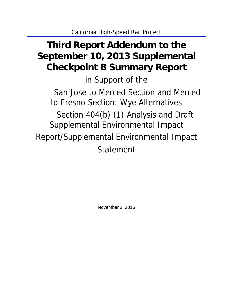# **Third Report Addendum to the September 10, 2013 Supplemental Checkpoint B Summary Report**

in Support of the San Jose to Merced Section and Merced to Fresno Section: Wye Alternatives Section 404(b) (1) Analysis and Draft Supplemental Environmental Impact Report/Supplemental Environmental Impact Statement

November 2, 2016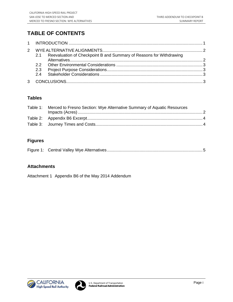# **TABLE OF CONTENTS**

| $\mathcal{P}$ |                                                                         |  |
|---------------|-------------------------------------------------------------------------|--|
|               | 2.1 Reevaluation of Checkpoint B and Summary of Reasons for Withdrawing |  |
|               |                                                                         |  |
|               |                                                                         |  |
|               |                                                                         |  |
|               |                                                                         |  |
|               |                                                                         |  |

# **Tables**

| Table 1: Merced to Fresno Section: Wye Alternative Summary of Aquatic Resources |  |
|---------------------------------------------------------------------------------|--|
|                                                                                 |  |
|                                                                                 |  |
|                                                                                 |  |

# **Figures**

|--|--|--|

# **Attachments**

Attachment 1 Appendix B6 of the May 2014 Addendum



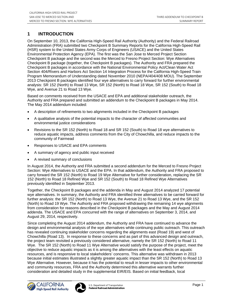# **1 INTRODUCTION**

On September 10, 2013, the California High-Speed Rail Authority (Authority) and the Federal Railroad Administration (FRA) submitted two Checkpoint B Summary Reports for the California High-Speed Rail (HSR) system to the United States Army Corps of Engineers (USACE) and the United States Environmental Protection Agency (EPA). The first was the San Jose to Merced Project Section Checkpoint B package and the second was the Merced to Fresno Project Section: Wye Alternatives Checkpoint B package (together, the Checkpoint B packages). The Authority and FRA prepared the Checkpoint B packages in accordance with the National Environmental Policy Act/Clean Water Act Section 404/Rivers and Harbors Act Section 14 Integration Process for the California High-Speed Train Program Memorandum of Understanding dated November 2010 (NEPA/404/408 MOU). The September 2013 Checkpoint B packages identified four wye alternatives to carry forward for further environmental analysis: SR 152 (North) to Road 13 Wye, SR 152 (North) to Road 18 Wye, SR 152 (South) to Road 18 Wye, and Avenue 21 to Road 13 Wye.

Based on comments received from the USACE and EPA and additional stakeholder outreach, the Authority and FRA prepared and submitted an addendum to the Checkpoint B packages in May 2014. The May 2014 addendum included:

- A description of refinements to two alignments included in the Checkpoint B packages
- A qualitative analysis of the potential impacts to the character of affected communities and environmental justice considerations
- Revisions to the SR 152 (North) to Road 18 and SR 152 (South) to Road 18 wye alternatives to reduce aquatic impacts, address comments from the City of Chowchilla, and reduce impacts to the community of Fairmead
- Responses to USACE and EPA comments
- A summary of agency and public input received
- A revised summary of conclusions

In August 2014, the Authority and FRA submitted a second addendum for the Merced to Fresno Project Section: Wye Alternatives to USACE and the EPA. In that addendum, the Authority and FRA proposed to carry forward the SR 152 (North) to Road 19 Wye Alternative for further consideration, replacing the SR 152 (North) to Road 18 Refined Wye and SR 152 (South) to Road 18 Refined Wye Alternatives previously identified in September 2013.

Together, the Checkpoint B packages and the addenda in May and August 2014 analyzed 17 potential wye alternatives. In summary, the Authority and FRA identified three alternatives to be carried forward for further analysis: the SR 152 (North) to Road 13 Wye, the Avenue 21 to Road 13 Wye, and the SR 152 (North) to Road 19 Wye. The Authority and FRA proposed withdrawing the remaining 14 wye alignments from consideration for reasons described in the Checkpoint B packages and the May and August 2014 addenda. The USACE and EPA concurred with the range of alternatives on September 3, 2014, and August 29, 2014, respectively.

Since completing the August 2014 addendum, the Authority and FRA have continued to advance the design and environmental analysis of the wye alternatives while continuing public outreach. This outreach has revealed continuing stakeholder concerns regarding the alignments east (Road 19) and west of Chowchilla (Road 13). In response to these concerns and as part of this advanced design and outreach, the project team revisited a previously considered alternative, namely the SR 152 (North) to Road 11 Wye. The SR 152 (North) to Road 11 Wye Alternative would satisfy the purpose of the project, meet the objective to reduce aquatic impacts as it is among the alternatives with the least effects on aquatic resources, and is responsive to local stakeholders' concerns. This alternative was withdrawn in 2013 because initial estimates illustrated a slightly greater aquatic impact than the SR 152 (North) to Road 13 Wye Alternative. However, because it has the potential to result in lesser impacts to other environmental and community resources, FRA and the Authority determined this alternative warrants further consideration and detailed study in the supplemental EIR/EIS. Based on initial feedback, local



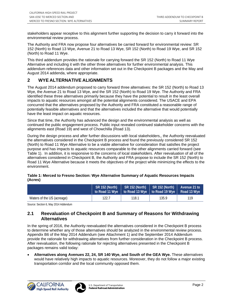stakeholders appear receptive to this alignment further supporting the decision to carry it forward into the environmental review process.

The Authority and FRA now propose four alternatives be carried forward for environmental review: SR 152 (North) to Road 13 Wye, Avenue 21 to Road 13 Wye, SR 152 (North) to Road 19 Wye, and SR 152 (North) to Road 11 Wye.

This third addendum provides the rationale for carrying forward the SR 152 (North) to Road 11 Wye Alternative and including it with the other three alternatives for further environmental analysis. This addendum references data and other information set out in the Checkpoint B packages and the May and August 2014 addenda, where appropriate.

# **2 WYE ALTERNATIVE ALIGNMENTS**

The August 2014 addendum proposed to carry forward three alternatives: the SR 152 (North) to Road 13 Wye, the Avenue 21 to Road 13 Wye, and the SR 152 (North) to Road 19 Wye. The Authority and FRA identified these three alternatives primarily because they have the potential to result in the least overall impacts to aquatic resources amongst all the potential alignments considered. The USACE and EPA concurred that the alternatives proposed by the Authority and FRA constituted a reasonable range of potentially feasible alternatives and that the alternatives included the alternative that would potentially have the least impact on aquatic resources.

Since that time, the Authority has advanced the design and the environmental analysis as well as continued the public engagement process. Public input revealed continued stakeholder concerns with the alignments east (Road 19) and west of Chowchilla (Road 13).

During the design process and after further discussions with local stakeholders,, the Authority reevaluated the alternatives considered in the Checkpoint B process and found the previously considered SR 152 (North) to Road 11 Wye Alternative to be a viable alternative for consideration that satisfies the project purpose and has impacts to aquatic resources comparable to the other alignments carried forward (see Table 1). In addition, it is responsive to the concerns of local stakeholders. After reevaluation of all of the alternatives considered in Checkpoint B, the Authority and FRA propose to include the SR 152 (North) to Road 11 Wye Alternative because it meets the objectives of the project while minimizing the effects to the environment.

| Table 1: Merced to Fresno Section: Wye Alternative Summary of Aquatic Resources Impacts |  |
|-----------------------------------------------------------------------------------------|--|
| (Acres)                                                                                 |  |

|                            | SR 152 (North)<br>to Road 11 Wye   to Road 13 Wye   to Road 19 Wye   Road 13 Wye | SR 152 (North) | $\vert$ SR 152 (North) | Avenue 21 to |
|----------------------------|----------------------------------------------------------------------------------|----------------|------------------------|--------------|
| Waters of the US (acreage) | 122.7                                                                            | 118.1          | 135.9                  | 119          |

Source: Section 6, May 2014 Addendum

## **2.1 Reevaluation of Checkpoint B and Summary of Reasons for Withdrawing Alternatives**

In the spring of 2016, the Authority reevaluated the alternatives considered in the Checkpoint B process to determine whether any of those alternatives should be analyzed in the environmental review process. Appendix B6 of the May 2014 Addendum (see Attachment 1) and the September 2014 Addendum provide the rationale for withdrawing alternatives from further consideration in the Checkpoint B process. After reevaluation, the following rationale for rejecting alternatives presented in the Checkpoint B packages remains valid today:

 **Alternatives along Avenues 22, 24, SR 140 Wye, and South of the GEA Wye.** These alternatives would have relatively high impacts to aquatic resources. Moreover, they do not follow a major existing transportation corridor and the local community opposed them.



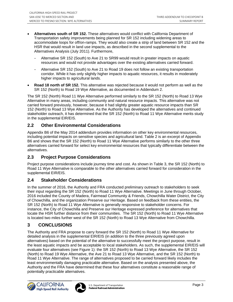- **Alternatives south of SR 152.** These alternatives would conflict with California Department of Transportation safety improvements being planned for SR 152 including widening areas to accommodate loops for off/on-ramps. They would also create a strip of land between SR 152 and the HSR that would result in land use impacts, as described in the second supplemental to the Alternatives Analysis (July 2011). Furthermore,
	- Alternative SR 152 (South) to Ave 21 to SR99 would result in greater impacts on aquatic resources and would not provide advantages over the existing alternatives carried forward.
	- Alternative SR 152 (South) to Ave 21 to Road 19 does not follow an existing transportation corridor. While it has only slightly higher impacts to aquatic resources, it results in moderately higher impacts to agricultural lands.
- **Road 18 north of SR 152.** This alternative was rejected because it would not perform as well as the SR 152 (North) to Road 19 Wye Alternative, as documented in Addendum 2.

The SR 152 (North) Road 11 Wye Alternative performed similarly to the SR 152 (North) to Road 13 Wye Alternative in many areas, including community and natural resource impacts. This alternative was not carried forward previously, however, because it had slightly greater aquatic resource impacts than SR 152 (North) to Road 13 Wye Alternative. As the Authority has developed the alternatives and continued stakeholder outreach, it has determined that the SR 152 (North) to Road 11 Wye Alternative merits study in the supplemental EIR/EIS.

# **2.2 Other Environmental Considerations**

Appendix B6 of the May 2014 addendum provides information on other key environmental resources, including potential impacts on sensitive species and agricultural land. Table 2 is an excerpt of Appendix B6 and shows that the SR 152 (North) to Road 11 Wye Alternative performs similarly to the other three alternatives carried forward for select key environmental resources that typically differentiate between the alternatives.

## **2.3 Project Purpose Considerations**

Project purpose considerations include journey time and cost. As shown in Table 3, the SR 152 (North) to Road 11 Wye Alternative is comparable to the other alternatives carried forward for consideration in the supplemental EIR/EIS.

## **2.4 Stakeholder Considerations**

In the summer of 2016, the Authority and FRA conducted preliminary outreach to stakeholders to seek their input regarding the SR 152 (North) to Road 11 Wye Alternative. Meetings in June through October, 2016 included the County of Madera, Fairmead Community & Friends, Chowchilla Water District, the City of Chowchilla, and the organization Preserve our Heritage. Based on feedback from these entities, the SR 152 (North) to Road 11 Wye Alternative is generally responsive to stakeholder concerns. For instance, the City of Chowchilla and Preserve our Heritage expressed preference for alternatives that locate the HSR further distance from their communities. The SR 152 (North) to Road 11 Wye Alternative is located two miles further west of the SR 152 (North) to Road 13 Wye Alternative from Chowchilla.

# **3 CONCLUSIONS**

The Authority and FRA propose to carry forward the SR 152 (North) to Road 11 Wye Alternative for detailed analysis in the supplemental EIR/EIS (in addition to the three previously agreed upon alternatives) based on the potential of the alternative to successfully meet the project purpose, result in the least aquatic impacts and be acceptable to local stakeholders. As such, the supplemental EIR/EIS will evaluate four alternatives (see Figure 1): the SR 152 (North) to Road 13 Wye Alternative, the SR 152 (North) to Road 19 Wye Alternative, the Ave 21 to Road 13 Wye Alternative, and the SR 152 (North) to Road 11 Wye Alternative. The range of alternatives proposed to be carried forward likely includes the least environmentally damaging practicable alternative. Based on the analysis presented above, the Authority and the FRA have determined that these four alternatives constitute a reasonable range of potentially practicable alternatives.



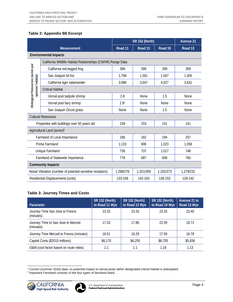#### **Table 2: Appendix B6 Excerpt**

|                                 |                                                             | <b>SR 152 (North)</b> |                    | Avenue 21 |                    |  |  |  |
|---------------------------------|-------------------------------------------------------------|-----------------------|--------------------|-----------|--------------------|--|--|--|
|                                 | <b>Measurement</b>                                          | Road <sub>11</sub>    | Road <sub>13</sub> | Road 19   | Road <sub>13</sub> |  |  |  |
|                                 | <b>Environmental Impacts</b>                                |                       |                    |           |                    |  |  |  |
|                                 | California Wildlife Habitat Relationships (CWHR) Range Data |                       |                    |           |                    |  |  |  |
|                                 | California red-legged frog                                  | 399                   | 399                | 399       | 399                |  |  |  |
|                                 | San Joaquin kit fox                                         | 1,708                 | 1,561              | 1,567     | 1,505              |  |  |  |
| species/habitat)                | California tiger salamander                                 | 3,998                 | 3,647              | 4,027     | 3,631              |  |  |  |
|                                 | <b>Critical Habitat</b>                                     |                       |                    |           |                    |  |  |  |
|                                 | Vernal pool tadpole shrimp                                  | 2.8                   | <b>None</b>        | 1.5       | None               |  |  |  |
| Biological Resources (acres per | Vernal pool fairy shrimp                                    | 2.8 <sup>1</sup>      | None               | None      | None               |  |  |  |
|                                 | San Joaquin Orcutt grass                                    | None                  | None               | 1.5       | None               |  |  |  |
|                                 | <b>Cultural Resources</b>                                   |                       |                    |           |                    |  |  |  |
|                                 | Properties with buildings over 50 years old                 | 159                   | 153                | 151       | 141                |  |  |  |
|                                 | Agricultural Land (acres) <sup>2</sup>                      |                       |                    |           |                    |  |  |  |
|                                 | Farmland of Local Importance                                | 186                   | 182                | 194       | 257                |  |  |  |
|                                 | Prime Farmland                                              | 1,133                 | 908                | 1,023     | 1,058              |  |  |  |
|                                 | Unique Farmland                                             | 736                   | 737                | 1,017     | 748                |  |  |  |
|                                 | Farmland of Statewide Importance                            | 778                   | 687                | 609       | 760                |  |  |  |
| <b>Community Impacts</b>        |                                                             |                       |                    |           |                    |  |  |  |
|                                 | Noise/ Vibration (number of potential sensitive receptors)  | 1,298/276             | 1,321/269          | 1,332/273 | 1,279/232          |  |  |  |
|                                 | Residential Displacements [units]                           | 133-158               | 142-163            | 136-153   | 128-142            |  |  |  |

#### **Table 3: Journey Times and Costs**

| <b>Parameter</b>                                | <b>SR 152 (North)</b><br>to Road 11 Wye | <b>SR 152 (North)</b><br>to Road 13 Wye | <b>SR 152 (North)</b><br>to Road 19 Wye | Avenue 21 to<br>Road 13 Wye |
|-------------------------------------------------|-----------------------------------------|-----------------------------------------|-----------------------------------------|-----------------------------|
| Journey Time San Jose to Fresno<br>(minutes)    | 23.33                                   | 23.33                                   | 23.33                                   | 23.40                       |
| Journey Time to San Jose to Merced<br>(minutes) | 17.33                                   | 17.86                                   | 22.09                                   | 18.71                       |
| Journey Time Merced to Fresno (minutes)         | 16.51                                   | 16.29                                   | 17.59                                   | 16.78                       |
| Capital Costs (\$2015 millions)                 | \$6,170                                 | \$6,250                                 | \$6,705                                 | \$5,836                     |
| O&M (cost factor based on route miles)          | 1.1                                     | 1.1                                     | 1.16                                    | 1.13                        |

<sup>&</sup>lt;sup>1</sup> Current (summer 2016) data: no potential impact to vernal pools within designated critical habitat is anticipated.<br><sup>2</sup> Important Earmland consists of the four types of farmland listed.

<sup>&</sup>lt;sup>2</sup> Important Farmland consists of the four types of farmland listed. .

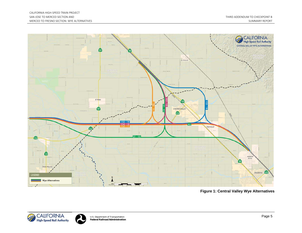

**Figure 1: Central Valley Wye Alternatives**



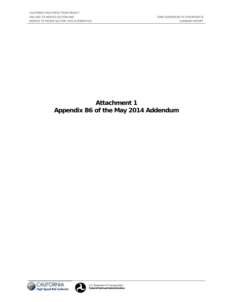# **Attachment 1 Appendix B6 of the May 2014 Addendum**



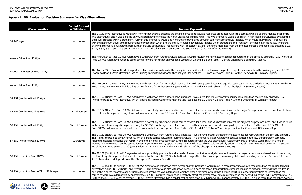ociated with this alternative would be third highest of all of the native would also result in high visual intrusiveness by adding a sco and Los Angeles, which would likely make it inconsistent tation and the Transbay Terminal in San Francisco. Therefore, es not meet the project's purpose and need (see Sections 3.1.3,

to aquatic resources than the similarly aligned SR 152 (North) to 1 of the Checkpoint B Summary Report).

mpacts to aquatic resources than the similarly aligned SR 152 nd Table 4-1 of the Checkpoint B Summary Report).

aquatic resources than the similarly aligned SR 152 (North) to 1 of the Checkpoint B Summary Report).

acts to aquatic resources than the similarly aligned SR 152 nd Table 4-1 of the Checkpoint B Summary Report).

ause it meets the project's purpose and need, and it would have jummary Report).

The SR 152 and it meets the project's purpose and need, and it would result among all wye alternatives. Further, an SR 152 (North) to nd Appendix A of the Checkpoint B Summary Report).

age of impacts to aquatic resources than the similarly aligned SR ndrawn because it does not follow transportation corridors, ives. Additionally, this alternative would result in a longer tively affect the overall travel time requirement on the second

ause it meets the project's purpose and need, and it has among from many stakeholders and agencies (see Sections 3.1.3 and

in more impacts to aquatic resources than the carried forward rtation corridors, leading to diagonal crossings that resulted in it would result in a longer journey time to Merced than the e requirement on the second leg of the HST (Sacramento to LA). is approximately \$1.4 to \$1.7 billion more than the other Avenue

# **Appendix B6: Evaluation Decision Summary for Wye Alternatives**

| <b>Wye Alternative</b>                   | <b>Carried Forward</b><br>or Withdrawn | <b>Decision Explanation</b>                                                                                                                                                                                                                                                                                                                                                                                                                                                                                                                                                                                                                                                                                                                                                                                                        |
|------------------------------------------|----------------------------------------|------------------------------------------------------------------------------------------------------------------------------------------------------------------------------------------------------------------------------------------------------------------------------------------------------------------------------------------------------------------------------------------------------------------------------------------------------------------------------------------------------------------------------------------------------------------------------------------------------------------------------------------------------------------------------------------------------------------------------------------------------------------------------------------------------------------------------------|
| <b>SR 140 Wye</b>                        | Withdrawn                              | The SR 140 Wye Alternative is withdrawn from further analysis because the potential impacts to aquatic resources associated with t<br>wye alternatives, and it would be the only wye alternative to impact the North Grasslands Wildlife Area. This wye alternative would a<br>train river crossing within a state park. Further, this alternative would add 4 minutes of travel time between San Francisco and Los /<br>with the maximum travel time requirements of Proposition 1A of 2 hours and 40 minutes between Los Angeles Union Station and th<br>this wye alternative is withdrawn from further analysis because it is inconsistent with Proposition 1A and, therefore, does not meet t<br>3.2.1, 3.3.1, 3.3.7, and 4.2.5 and Table 4-1 of the Checkpoint B Summary Report and Section 4.5.1 [page 45] of Attachment 1). |
| Avenue 24 to Road 11 Wye                 | Withdrawn                              | The Avenue 24 to Road 11 Wye Alternative is withdrawn from further analysis because it would result in more impacts to aquatic re<br>Road 13 Wye Alternative, which is being carried forward for further analysis (see Sections 3.1.3 and 4.2.5 and Table 4-1 of the Cheore                                                                                                                                                                                                                                                                                                                                                                                                                                                                                                                                                        |
| Avenue 24 to East of Road 12 Wye         | Withdrawn                              | The Avenue 24 to East of Road 12 Wye Alternative is withdrawn from further analysis because it would result in more impacts to aq<br>(North) to Road 13 Wye Alternative, which is being carried forward for further analysis (see Sections 3.1.3 and 4.2.5 and Table 4-1                                                                                                                                                                                                                                                                                                                                                                                                                                                                                                                                                           |
| Avenue 24 to Road 13 Wye                 | Withdrawn                              | The Avenue 24 to Road 13 Wye Alternative is withdrawn from further analysis because it would have greater impacts to aquatic rese<br>Road 13 Wye Alternative, which is being carried forward for further analysis (see Sections 3.1.3 and 4.2.5 and Table 4-1 of the Chee                                                                                                                                                                                                                                                                                                                                                                                                                                                                                                                                                          |
| SR 152 (North) to Road 11 Wye            | Withdrawn                              | The SR 152 (North) to Road 11 Wye Alternative is withdrawn from further analysis because it would result in more impacts to aquat<br>(North) to Road 13 Wye Alternative, which is being carried forward for further analysis (see Sections 3.1.3 and 4.2.5 and Table 4-1                                                                                                                                                                                                                                                                                                                                                                                                                                                                                                                                                           |
| SR 152 (North) to Road 13 Wye            | Carried Forward                        | The SR 152 (North) to Road 13 Wye Alternative is potentially practicable and is carried forward for further analysis because it meets<br>the least aquatic impacts among all wye alternatives (see Sections 3.1.3 and 4.3.5 and Table 4-2 of the Checkpoint B Summary Rep                                                                                                                                                                                                                                                                                                                                                                                                                                                                                                                                                          |
| SR 152 (North) to Road 18 Wye            | <b>Carried Forward</b>                 | The SR 152 (North) to Road 18 Wye Alternative is potentially practicable and is carried forward for further analysis because it meets<br>in the second fewest aquatic impacts among the SR 152 (North) wye alternatives and the fourth fewest aquatic impacts among all v<br>Road 18 Wye Alternative has support from many stakeholders and agencies (see Sections 3.1.3 and 4.3.5, Table 4-2, and Appendix                                                                                                                                                                                                                                                                                                                                                                                                                        |
| SR 152 (North) to Road 19 Wye            | Withdrawn                              | The SR 152 (North) to Road 19 Wye Alternative is withdrawn from further analysis because it would have greater acreage of impact<br>152 (North) to Road 18 Wye Alternative, which is being carried forward for further analysis. This alternative is also withdrawn becau<br>leading to diagonal crossings that result in one of the highest impacts to agricultural resources among the wye alternatives. Additior<br>journey time to Merced than the carried forward wye alternatives by approximately 0.5 to 4 minutes, which could negatively affect t<br>leg of the HST (Sacramento to LA) (see Sections 3.1.3, 3.2.1, 3.3.2, and 4.2.5 and Table 4-1 of the Checkpoint B Summary Report).                                                                                                                                    |
| SR 152 (South) to Road 18 Wye            | <b>Carried Forward</b>                 | The SR 152 (South) to Road 18 Wye Alternative is potentially practicable and is carried forward for further analysis because it meets<br>the fewest aquatic impacts of all wye alternatives. Further, an SR 152 (South) to Road 18 Wye Alternative has support from many s<br>4.3.5, Table 4-2, and Appendix A of the Checkpoint B Summary Report).                                                                                                                                                                                                                                                                                                                                                                                                                                                                                |
| SR 152 (South) to Avenue 21 to SR 99 Wye | Withdrawn                              | The SR 152 (South) to Avenue 21 to SR 99 Wye Alternative is withdrawn from further analysis because it would result in more impa<br>alternatives along SR 152 (North) and Avenue 21. This alternative is also withdrawn because it does not follow transportation corrid<br>one of the highest impacts to agricultural resources among the wye alternatives. Another reason for withdrawal is that it would resu<br>carried forward wye alternatives by approximately 0.5 to 4 minutes, which could negatively affect the overall travel time requiremen<br>Further, the SR 152 (South) to Avenue 21 to SR 99 Wye Alternative has a capital cost of more than \$7.2 billion which , is approximat                                                                                                                                  |

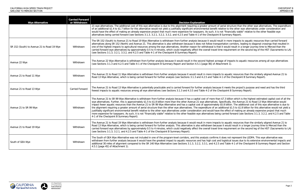erial structure than the other wye alternatives. The expenditure ative to the other wye alternatives under consideration and ot "financially viable" relative to the other feasible wye Summary Report).

It in more impacts to aquatic resources than carried forward rtation corridors, leading to diagonal crossings that resulted in it would result in a longer journey time to Merced than the e requirement on the second leg of the HST (Sacramento to LA)

ge of impacts to aquatic resources among all wye alternatives<br>hment 1).

to aquatic resources than the similarly aligned Avenue 21 to 1 of the Checkpoint B Summary Report).

it meets the project's purpose and need and has the third ckpoint B Summary Report).

\$7.3 billion which is the highest estimated capital cost of all the ecifically, the Avenue 21 to Road 13 Wye Alternative would 5.8 billion. The additional cost of this wye alternative is due to ditional \$1.5 to \$1.8 billion for this alternative would not yield a he effect of making an already expensive project that much carried forward (see Sections 3.1.3, 3.2.2, and 4.2.5 and Table

to aquatic resources than the similarly aligned Avenue 21 to It would result in a longer journey time to Merced than the e requirement on the second leg of the HST (Sacramento to LA)

does not represent the LEDPA. This wye alternative was logistical issues due to its extensive environmental impacts and nd Table 4-1 of the Checkpoint B Summary Report and Section

| <b>Wye Alternative</b>                     | <b>Carried Forward</b><br>or Withdrawn | <b>Decision Explanation</b>                                                                                                                                                                                                                                                                                                                                                                                                                                                                                                                                                                                                                                                                                                                                                                                                                                                     |
|--------------------------------------------|----------------------------------------|---------------------------------------------------------------------------------------------------------------------------------------------------------------------------------------------------------------------------------------------------------------------------------------------------------------------------------------------------------------------------------------------------------------------------------------------------------------------------------------------------------------------------------------------------------------------------------------------------------------------------------------------------------------------------------------------------------------------------------------------------------------------------------------------------------------------------------------------------------------------------------|
|                                            |                                        | 21 wye alternatives. The additional cost of this wye alternative is due to this alignment requiring a greater amount of aerial strud<br>of an additional \$1.4 to \$1.7 billion for this alternative would not yield a justifiably significant environmental benefit relative to th<br>would have the effect of making an already expensive project that much more expensive for taxpayers. As such, it is not "financ<br>alternatives being carried forward (see Sections 3.1.3, 3.2.1, 3.2.2, 3.3.2, and 4.2.5 and Table 4-1 of the Checkpoint B Summary                                                                                                                                                                                                                                                                                                                      |
| SR 152 (South) to Avenue 21 to Road 19 Wye | Withdrawn                              | The SR 152 (South) to Avenue 21 to Road 19 Wye Alternative is withdrawn from further analysis because it would result in more<br>alternatives along SR 152 (North) and Avenue 21. This alternative is also withdrawn because it does not follow transportation co<br>one of the highest impacts to agricultural resources among the wye alternatives. Another reason for withdrawal is that it would r<br>carried forward wye alternatives by approximately 0.5 to 4 minutes, which could negatively affect the overall travel time requirer<br>(see Sections 3.1.3, 3.2.1, 3.3.2, and 4.2.5 and Table 4-1 of the Checkpoint B Summary Report).                                                                                                                                                                                                                                 |
| Avenue 22 Wye                              | Withdrawn                              | The Avenue 22 Wye Alternative is withdrawn from further analysis because it would result in the second highest acreage of impa<br>(see Sections 3.1.3 and 4.2.5 and Table 4-1 of the Checkpoint B Summary Report and Section 4.5.1 [page 46] of Attachment 1).                                                                                                                                                                                                                                                                                                                                                                                                                                                                                                                                                                                                                  |
| Avenue 21 to Road 11 Wye                   | Withdrawn                              | The Avenue 21 to Road 11 Wye Alternative is withdrawn from further analysis because it would result in more impacts to aquation<br>Road 13 Wye Alternative, which is being carried forward for further analysis (see Sections 3.1.3 and 4.2.5 and Table 4-1 of the 0                                                                                                                                                                                                                                                                                                                                                                                                                                                                                                                                                                                                            |
| Avenue 21 to Road 13 Wye                   | <b>Carried Forward</b>                 | The Avenue 21 to Road 13 Wye Alternative is potentially practicable and is carried forward for further analysis because it meets<br>fewest impacts to aquatic resources among all wye alternatives (see Sections 3.1.3 and 4.3.5 and Table 4-2 of the Checkpoint B                                                                                                                                                                                                                                                                                                                                                                                                                                                                                                                                                                                                              |
| Avenue 21 to SR 99 Wye                     | Withdrawn                              | The Avenue 21 to SR 99 Wye Alternative is withdrawn from further analysis because it has a capital cost of more than \$7.3 billio<br>wye alternatives. Further, this is approximately \$1.5 to \$1.8 billion more than the other Avenue 21 wye alternatives. Specifically,<br>impact fewer aquatic resources than the Avenue 21 to SR 99 Wye Alternative and has a capital cost of approximately \$5.8 billion<br>the alignment requiring a greater amount of aerial structure than the other wye alternatives. The expenditure of an additional \$<br>justifiably significant environmental benefit relative to the other wye alternatives under consideration and would have the effect<br>more expensive for taxpayers. As such, it is not "financially viable" relative to the other feasible wye alternatives being carried fo<br>4-1 of the Checkpoint B Summary Report). |
| Avenue 21 to Road 19 Wye                   | Withdrawn                              | The Avenue 21 to Road 19 Wye Alternative is withdrawn from further analysis because it would result in more impacts to aquation<br>Road 13 Wye Alternative, which is being carried forward for further analysis. This alternative is also withdrawn because it would<br>carried forward wye alternatives by approximately 0.5 to 4 minutes, which could negatively affect the overall travel time requirer<br>(see Sections 3.1.3, 3.2.1, and 4.2.5 and Table 4-1 of the Checkpoint B Summary Report).                                                                                                                                                                                                                                                                                                                                                                          |
| South of GEA Wye                           | Withdrawn                              | The South of GEA Wye Alternative was not included in one of the program-level corridors, and this analysis confirms it does not<br>withdrawn from further analysis because it would have the greatest impact to aquatic resources and has high cost and logistical<br>additional 30 miles of alignment compared to the SR 140 Wye Alternative (see Sections 3.1.3, 3.2.2, 3.3.1, and 4.2.5 and Table<br>4.5.1 [page 45] of Attachment 1).                                                                                                                                                                                                                                                                                                                                                                                                                                       |

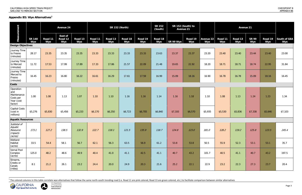|                                                                       |                      |                | <b>Avenue 24</b>                 |                |                           |                | <b>SR 152 (North)</b> |                | <b>SR 152</b><br>(South) | SR 152 (South) to<br><b>Avenue 21</b> |                |                         | <b>Avenue 21</b> |                |                     |                |                            |
|-----------------------------------------------------------------------|----------------------|----------------|----------------------------------|----------------|---------------------------|----------------|-----------------------|----------------|--------------------------|---------------------------------------|----------------|-------------------------|------------------|----------------|---------------------|----------------|----------------------------|
| Measurement                                                           | <b>SR 140</b><br>Wye | Road 11<br>Wye | <b>East of</b><br>Road 12<br>Wye | Road 13<br>Wye | Road <sub>11</sub><br>Wye | Road 13<br>Wye | Road 18<br>Wye        | Road 19<br>Wye | Road 18<br>Wye           | SR 99 Wye                             | Road 19<br>Wye | <b>Avenue 22</b><br>Wye | Road 11<br>Wye   | Road 13<br>Wye | <b>SR 99</b><br>Wye | Road 19<br>Wye | <b>South of GEA</b><br>Wye |
| <b>Design Objectives</b>                                              |                      |                |                                  |                |                           |                |                       |                |                          |                                       |                |                         |                  |                |                     |                |                            |
| Journey Time<br>to Fresno<br>(minutes)                                | 28.17                | 23.35          | 23.35                            | 23.35          | 23.33                     | 23.33          | 23.33                 | 23.33          | 23.63                    | 23.37                                 | 23.37          | 23.20                   | 23.40            | 23.40          | 23.44               | 23.40          | 23.00                      |
| Journey Time<br>to Merced<br>(minutes)                                | 11.72                | 17.53          | 17.99                            | 17.89          | 17.33                     | 17.86          | 21.57                 | 22.09          | 21.48                    | 19.65                                 | 22.92          | 18.20                   | 18.71            | 18.71          | 18.74               | 22.95          | 31.84                      |
| Journey Time<br>Merced to<br>Fresno<br>(minutes)                      | 16.45                | 16.23          | 16.80                            | 16.22          | 16.61                     | 16.29          | 17.61                 | 17.59          | 16.99                    | 15.09                                 | 18.16          | 16.90                   | 16.78            | 16.78          | 15.09               | 18.16          | 16.45                      |
| <b>Costs</b>                                                          |                      |                |                                  |                |                           |                |                       |                |                          |                                       |                |                         |                  |                |                     |                |                            |
| Operation<br>and<br>Maintenance<br>Costs per<br>Year (cost<br>factor) | 1.00                 | 1.08           | 1.13                             | 1.07           | 1.10                      | 1.10           | 1.16                  | 1.16           | 1.14                     | 1.16                                  | 1.18           | 1.10                    | 1.08             | 1.13           | 1.24                | 1.23           | 1.34                       |
| <b>Capital Costs</b><br>(cost in<br>millions)                         | \$5,276              | \$5,830        | \$5,456                          | \$5,233        | \$6,170                   | \$6,250        | \$6,723               | \$6,705        | \$6,840                  | \$7,193                               | \$6,570        | \$5,935                 | \$5,530          | \$5,836        | \$7,338             | \$5,646        | \$7,103                    |
| <b>Aquatic Resources</b>                                              |                      |                |                                  |                |                           |                |                       |                |                          |                                       |                |                         |                  |                |                     |                |                            |
| Subtotal of<br>Aquatic<br>Resource<br>Impacts<br>(acres)              | 173.1                | 127.2          | 138.5                            | 132.9          | 122.7                     | 118.1          | 121.5                 | 135.9          | 118.7                    | 124.8                                 | 123.0          | 181.0                   | 128.2            | 119.2          | 125.8               | 123.5          | 245.4                      |
| Wetland<br>Habitat<br>(acres)                                         | 33.5                 | 54.4           | 58.1                             | 56.7           | 62.1                      | 56.3           | 63.5                  | 56.9           | 61.2                     | 53.8                                  | 53.8           | 50.5                    | 55.9             | 52.3           | 53.1                | 53.1           | 35.7                       |
| Vernal Pool<br>Complex<br>(acres)                                     | 125.0                | 48.2           | 48.6                             | 49.9           | 40.4                      | 41.0           | 41.1                  | 42.5           | 41.1                     | 40.7                                  | 43.2           | 101.7                   | 40.5             | 41.1           | 40.7                | 43.2           | 197.5                      |
| Streams,<br>Creeks or<br>Canals<br>(miles)                            | 8.1                  | 21.2           | 26.1                             | 23.2           | 24.4                      | 20.0           | 24.9                  | 20.3           | 21.6                     | 25.2                                  | 22.1           | 22.9                    | 23.2             | 22.3           | 27.3                | 23.7           | 20.4                       |

 $\frac{1}{1}$  The colored columns in this table correlate wye alternatives that follow the same north-south trending road (i.e. Road 11 are pink colored, Road 13 are green colored, etc.) to facilitate comparison between simil



 $\overline{\phantom{a}}$ 

# <span id="page-10-0"></span>**Appendix B5: Wye Alternatives[1](#page-10-0)**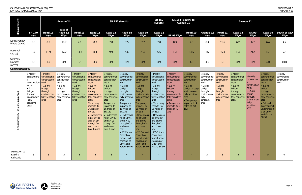|                                |                      |                | <b>Avenue 24</b>          |                |                |                | <b>SR 152 (North)</b> |                | <b>SR 152</b><br>(South) | SR 152 (South) to<br><b>Avenue 21</b> |                |                         |          |
|--------------------------------|----------------------|----------------|---------------------------|----------------|----------------|----------------|-----------------------|----------------|--------------------------|---------------------------------------|----------------|-------------------------|----------|
| Measurement                    | <b>SR 140</b><br>Wye | Road 11<br>Wye | East of<br>Road 12<br>Wye | Road 13<br>Wye | Road 11<br>Wye | Road 13<br>Wye | Road 18<br>Wye        | Road 19<br>Wye | Road 18<br>Wye           | <b>SR 99 Wye</b>                      | Road 19<br>Wye | <b>Avenue 22</b><br>Wye | Roa<br>W |
| Lakes/Ponds/<br>Rivers (acres) | 5.3                  | 8.9            | 10.7                      | 7.8            | 8.0            | 7.0            | 7.5                   | 7.7            | 7.0                      | 8.3                                   | 7.6            | 8.4                     | 11       |
| Reservoir<br>(acres)           | 6.7                  | 11.9           | 17.2                      | 14.7           | 8.4            | 9.9            | 5.6                   | 25.0           | 5.5                      | 18.1                                  | 14.5           | 16                      | 16       |
| Swamps/<br>Marshes<br>(acres)  | 2.6                  | 3.9            | 3.9                       | 3.9            | 3.9            | 3.9            | 3.9                   | 3.9            | 3.9                      | 3.9                                   | 4.0            | 4.5                     | 3        |

|                                           | <b>Avenue 24</b>                                                                                                          |                                                                                                                                         |                                                                                                                                     | <b>SR 152 (North)</b>                                                                                                               |                                                                                                                                                                                                                                                                                      |                                                                                                                                                                                                                                                                              |                                                                                                                                                                                                                                                                                                                                                                                        | <b>SR 152</b><br>(South)                                                                                                                                                                                                                                                                                                                                       | SR 152 (South) to<br><b>Avenue 21</b>                                                                                                                                                                                                                                                                                                                                              |                                                                                                                                                                                           |                                                                                                                                                                                       | <b>Avenue 21</b>                                                                                                       |                                                                                                                               |                                                                                                                                                       |                                                                                                                                             |                                                                                                                                                                                                                                        |                                                  |
|-------------------------------------------|---------------------------------------------------------------------------------------------------------------------------|-----------------------------------------------------------------------------------------------------------------------------------------|-------------------------------------------------------------------------------------------------------------------------------------|-------------------------------------------------------------------------------------------------------------------------------------|--------------------------------------------------------------------------------------------------------------------------------------------------------------------------------------------------------------------------------------------------------------------------------------|------------------------------------------------------------------------------------------------------------------------------------------------------------------------------------------------------------------------------------------------------------------------------|----------------------------------------------------------------------------------------------------------------------------------------------------------------------------------------------------------------------------------------------------------------------------------------------------------------------------------------------------------------------------------------|----------------------------------------------------------------------------------------------------------------------------------------------------------------------------------------------------------------------------------------------------------------------------------------------------------------------------------------------------------------|------------------------------------------------------------------------------------------------------------------------------------------------------------------------------------------------------------------------------------------------------------------------------------------------------------------------------------------------------------------------------------|-------------------------------------------------------------------------------------------------------------------------------------------------------------------------------------------|---------------------------------------------------------------------------------------------------------------------------------------------------------------------------------------|------------------------------------------------------------------------------------------------------------------------|-------------------------------------------------------------------------------------------------------------------------------|-------------------------------------------------------------------------------------------------------------------------------------------------------|---------------------------------------------------------------------------------------------------------------------------------------------|----------------------------------------------------------------------------------------------------------------------------------------------------------------------------------------------------------------------------------------|--------------------------------------------------|
| Measurement                               | <b>SR 140</b><br>Wye                                                                                                      | Road 11<br>Wye                                                                                                                          | <b>East of</b><br>Road 12<br>Wye                                                                                                    | Road 13<br>Wye                                                                                                                      | Road 11<br>Wye                                                                                                                                                                                                                                                                       | Road 13<br>Wye                                                                                                                                                                                                                                                               | Road 18<br>Wye                                                                                                                                                                                                                                                                                                                                                                         | Road 19<br>Wye                                                                                                                                                                                                                                                                                                                                                 | Road 18<br>Wye                                                                                                                                                                                                                                                                                                                                                                     | SR 99 Wye                                                                                                                                                                                 | Road 19<br>Wye                                                                                                                                                                        | <b>Avenue 22</b><br>Wye                                                                                                | Road 11<br>Wye                                                                                                                | Road 13<br>Wye                                                                                                                                        | <b>SR 99</b><br>Wye                                                                                                                         | Road 19<br>Wye                                                                                                                                                                                                                         | <b>South of GEA</b><br>Wye                       |
| Lakes/Ponds/<br>Rivers (acres)            | 5.3                                                                                                                       | 8.9                                                                                                                                     | 10.7                                                                                                                                | 7.8                                                                                                                                 | 8.0                                                                                                                                                                                                                                                                                  | 7.0                                                                                                                                                                                                                                                                          | 7.5                                                                                                                                                                                                                                                                                                                                                                                    | 7.7                                                                                                                                                                                                                                                                                                                                                            | 7.0                                                                                                                                                                                                                                                                                                                                                                                | 8.3                                                                                                                                                                                       | 7.6                                                                                                                                                                                   | 8.4                                                                                                                    | 11.6                                                                                                                          | 6.2                                                                                                                                                   | 6.7                                                                                                                                         | 6.4                                                                                                                                                                                                                                    | 4.7                                              |
| Reservoir<br>(acres)                      | 6.7                                                                                                                       | 11.9                                                                                                                                    | 17.2                                                                                                                                | 14.7                                                                                                                                | 8.4                                                                                                                                                                                                                                                                                  | 9.9                                                                                                                                                                                                                                                                          | 5.6                                                                                                                                                                                                                                                                                                                                                                                    | 25.0                                                                                                                                                                                                                                                                                                                                                           | 5.5                                                                                                                                                                                                                                                                                                                                                                                | 18.1                                                                                                                                                                                      | 14.5                                                                                                                                                                                  | 16                                                                                                                     | 16.3                                                                                                                          | 15.6                                                                                                                                                  | 21.4                                                                                                                                        | 16.9                                                                                                                                                                                                                                   | 7.5                                              |
| Swamps/<br>Marshes<br>(acres)             | 2.6                                                                                                                       | 3.9                                                                                                                                     | 3.9                                                                                                                                 | 3.9                                                                                                                                 | 3.9                                                                                                                                                                                                                                                                                  | 3.9                                                                                                                                                                                                                                                                          | 3.9                                                                                                                                                                                                                                                                                                                                                                                    | 3.9                                                                                                                                                                                                                                                                                                                                                            | 3.9                                                                                                                                                                                                                                                                                                                                                                                | 3.9                                                                                                                                                                                       | 4.0                                                                                                                                                                                   | 4.5                                                                                                                    | 3.9                                                                                                                           | 3.9                                                                                                                                                   | 3.9                                                                                                                                         | 4.0                                                                                                                                                                                                                                    | 0.04                                             |
| Constructability                          |                                                                                                                           |                                                                                                                                         |                                                                                                                                     |                                                                                                                                     |                                                                                                                                                                                                                                                                                      |                                                                                                                                                                                                                                                                              |                                                                                                                                                                                                                                                                                                                                                                                        |                                                                                                                                                                                                                                                                                                                                                                |                                                                                                                                                                                                                                                                                                                                                                                    |                                                                                                                                                                                           |                                                                                                                                                                                       |                                                                                                                        |                                                                                                                               |                                                                                                                                                       |                                                                                                                                             |                                                                                                                                                                                                                                        |                                                  |
| Summarized<br>structability Issues<br>Čor | • Mostly<br>construction work<br>work<br>$\bullet$ 2 mi<br>bridge<br>through<br>environmen<br>-tally<br>sensitive<br>area | • Mostly<br>conventiona conventional<br>construction<br>$\bullet$ 1.5 mi<br>bridge<br>through<br>environmen-<br>tally sensitive<br>area | • Mostly<br>conventional<br>construction<br>work<br>$\bullet$ 1.5 mi<br>bridge<br>through<br>environmen-<br>tally sensitive<br>area | • Mostly<br>conventional<br>construction<br>work<br>$\bullet$ 1.5 mi<br>bridge<br>through<br>environmen-<br>tally sensitive<br>area | • Mostly<br>conventional<br>construction<br>work<br>$\bullet$ 1.5 mi<br>bridge<br>through<br>environmen-<br>tally sensitive<br>area<br>Temporary<br>impacts to<br>16 miles of<br><b>SR 152</b><br>· Undercrossi<br>ng of UPRR<br>and SR 99<br>though Cut<br>and cove r<br>box tunnel | • Mostly<br>conventional<br>construction<br>work<br>$\bullet$ 1.5 mi<br>bridge<br>through<br>environmen-<br>tally sensitive<br>area<br>Temporary<br>impacts to<br>16 miles of<br>SR 152<br>· Undercrossi<br>ng of UPRR<br>and SR 99<br>though Cut<br>and cover<br>box tunnel | • Mostly<br>conventional<br>construction<br>work<br>$\bullet$ 1.5 mi<br>bridge<br>through<br>environmen-<br>tally sensitive   tally sensitive<br>area<br>Temporary<br>impacts to<br>16 miles of<br>SR 152<br>· Undercrossi<br>ng of UPRR<br>and SR 99<br>through Cut<br>and cover<br>box<br>Cover box<br>tunnel under<br>crossing of<br><b>UPRR</b> and<br>Future SR 99   Future SR 99 | • Mostly<br>conventional<br>construction<br>work<br>$\bullet$ 1.5 mi<br>bridge<br>through<br>environment-<br>area<br>Temporary<br>impacts to<br>16 miles of<br>SR 152<br>• Undercrossi<br>ng of UPRR<br>and SR 99<br>through Cut<br>and cover<br>$\log$<br>• $2^{nd}$ Cut and $\cdot$ $2^{nd}$ Cut and<br>Cover box<br>tunnel under<br>crossing of<br>UPRR and | • Mostly<br>conventional<br>construction<br>work<br>$\bullet$ 1.5 mi<br>bridge<br>through<br>environmen-<br>tally sensitive $\vert$<br>area<br>• Temporary<br>impacts to<br>16 miles of<br>SR 152<br>• Undercrossi<br>ng of UPRR<br>and SR 99<br>though Cut<br>and cover<br>box<br>2 <sup>nd</sup> Cut and<br>Cover box<br>tunnel under<br>crossing of<br>UPRR and<br>Future SR 99 | • Mostly<br>conventional<br>construction<br>work<br>$\bullet$ 1.5 mi<br>bridge<br>through<br>environment-<br>tally sensitive<br>area<br>• Temporary<br>impacts to 4<br>miles of SR<br>152 | • Mostly<br>conventional<br>construction<br>work<br>$\bullet$ 1.5 mi<br>bridge through<br>environmen-<br>tally sensitive<br>area<br>• Temporary<br>impacts to 4<br>miles of SR<br>152 | • Mostly<br>construction<br>work<br>$\bullet$ 1.5 mi<br>bridge<br>through<br>environmen-<br>tally<br>sensitive<br>area | • Mostly<br>conventional conventional<br>construction<br>work<br>$\bullet$ 1.5 mi<br>bridge<br>through<br>environmen-<br>area | • Mostly<br>conventional<br>construction<br>work<br>$\bullet$ 1.5 mi<br>bridge<br>through<br>environmen-<br>tally sensitive   tally sensitive<br>area | • Mostly<br>convention-<br>al<br>construction<br>work<br>$\bullet$ 1.5 mi<br>bridge<br>through<br>environmen<br>-tally<br>sensitive<br>area | $\bullet$ Mostly<br>conventional<br>construction<br>work<br>$\bullet$ 1.5 mi<br>bridge<br>through<br>environmen-<br>tally sensitive<br>area<br>$\bullet$ Cut and<br>Cover tunnel<br>undercrossin<br>$q$ of UPRR<br>and Future<br>SR 99 | • Mostly<br>conventional<br>construction<br>work |
| Disruption to<br>Existing<br>Railroads    | $\mathbf{3}$                                                                                                              | 3                                                                                                                                       | 3                                                                                                                                   | 3                                                                                                                                   | 3                                                                                                                                                                                                                                                                                    | $\overline{3}$                                                                                                                                                                                                                                                               |                                                                                                                                                                                                                                                                                                                                                                                        | $\boldsymbol{\varLambda}$                                                                                                                                                                                                                                                                                                                                      | 4                                                                                                                                                                                                                                                                                                                                                                                  |                                                                                                                                                                                           |                                                                                                                                                                                       | 3                                                                                                                      | 3                                                                                                                             | $\mathbf{3}$                                                                                                                                          |                                                                                                                                             | 5                                                                                                                                                                                                                                      |                                                  |

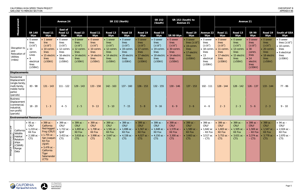|                                                                                                           |                                                                                                                        | <b>Avenue 24</b>                                                                                                                                                                      |                                                                                                         |                                                                                                          | <b>SR 152 (North)</b>                                                                                    |                                                                                                |                                                                                                                                                              |                                                                                          | <b>SR 152</b><br>(South)                                                                                 | <b>Avenue 21</b>                                                                                                 | SR 152 (South) to                                                                                            |                                                                                                                       |                                                                                                         |                                                                                                                                                                                              |                                                                                                                       |                                                                                                |                                                                                                          |
|-----------------------------------------------------------------------------------------------------------|------------------------------------------------------------------------------------------------------------------------|---------------------------------------------------------------------------------------------------------------------------------------------------------------------------------------|---------------------------------------------------------------------------------------------------------|----------------------------------------------------------------------------------------------------------|----------------------------------------------------------------------------------------------------------|------------------------------------------------------------------------------------------------|--------------------------------------------------------------------------------------------------------------------------------------------------------------|------------------------------------------------------------------------------------------|----------------------------------------------------------------------------------------------------------|------------------------------------------------------------------------------------------------------------------|--------------------------------------------------------------------------------------------------------------|-----------------------------------------------------------------------------------------------------------------------|---------------------------------------------------------------------------------------------------------|----------------------------------------------------------------------------------------------------------------------------------------------------------------------------------------------|-----------------------------------------------------------------------------------------------------------------------|------------------------------------------------------------------------------------------------|----------------------------------------------------------------------------------------------------------|
| Measurement                                                                                               | <b>SR 140</b><br>Wye                                                                                                   | Road 11<br>Wye                                                                                                                                                                        | <b>East of</b><br>Road 12<br>Wye                                                                        | Road 13<br><b>Wye</b>                                                                                    | Road 11<br>Wye                                                                                           | Road 13<br>Wye                                                                                 | Road 18<br>Wye                                                                                                                                               | Road <sub>19</sub><br>Wye                                                                | Road 18<br>Wye                                                                                           | SR 99 Wye                                                                                                        | Road 19<br>Wye                                                                                               | Avenue 22<br>Wye                                                                                                      | Road 11<br>Wye                                                                                          | Road 13<br>Wye                                                                                                                                                                               | <b>SR 99</b><br>Wye                                                                                                   | Road 19<br>Wye                                                                                 | <b>South of GEA</b><br>Wye                                                                               |
| Disruption to<br>and<br>Relocation of<br><b>Utilities</b><br>(miles)                                      | $\bullet$ 0 sewer<br>lines<br>(216")<br>$\bullet$ 10<br>comm<br>Lines<br>$\bullet$ 9<br>electrical<br>lines<br>(250kV) | • 1 sewer<br>line<br>(216")<br>$\bullet$ 10 comm<br>lines<br>• 15 electric<br>lines<br>(250kV)                                                                                        | $\bullet$ 0 sewer<br>lines<br>(216")<br>$\bullet$ 12 comm<br>lines<br>• 16 electric<br>lines<br>(250kV) | $\bullet$ 0 sewer<br>lines<br>(216")<br>$\bullet$ 12 comm.<br>lines<br>• 14 electric<br>lines<br>(250kV) | $\bullet$ 0 sewer<br>lines<br>(216")<br>$\bullet$ 10 comm.<br>lines<br>• 14 electric<br>lines<br>(250kV) | • 1 sewer<br>lines<br>(216")<br>$\bullet$ 12 comm.<br>lines<br>14 electric<br>lines<br>(250kV) | $\bullet$ 0 sewer<br>lines<br>(216")<br>$\bullet$ 19 comm.<br>lines<br>20 electric<br>lines<br>(250kV)                                                       | O sewer<br>lines<br>(216")<br>17 comm<br><b>lines</b><br>17 electric<br>lines<br>(250kV) | $\bullet$ 0 sewer<br>lines<br>(216")<br>$\bullet$ 19 comm.<br>lines<br>• 18 electric<br>lines<br>(250kV) | · 0 sewer<br>lines<br>(216")<br>$\bullet$ 30 comm.<br>lines<br>· 14 electric<br>lines<br>(250kV)                 | $\bullet$ 0 sewer<br>lines ( $\geq$ 16")<br>$\bullet$ 19 comm.<br>lines<br>• 17 electric<br>lines<br>(250kV) | $\bullet$ 0 sewer<br>lines<br>(216")<br>$\bullet$ 18 comm.<br>lines<br>$\bullet$ 13<br>electrical<br>lines<br>(250kV) | $\bullet$ 0 sewer<br>lines<br>(216")<br>$\bullet$ 11 comm<br>lines<br>• 17 electric<br>lines<br>(250kV) | $\bullet$ 0 sewer<br>lines<br>(216")<br>$\bullet$ 13 comm.<br>lines<br>• 15 electric<br>lines<br>(250kV)                                                                                     | $\bullet$ 0 sewer<br>lines<br>(216")<br>$\bullet$ 30<br>comm<br>lines<br>$\bullet$ 14<br>electric<br>lines<br>(250kV) | 0 sewer<br>lines<br>(216")<br>$\bullet$ 20 comm.<br>lines<br>• 18 electric<br>lines<br>(250kV) | $\bullet$ 0 sewer<br>lines $(≥16")$<br>$\bullet$ 10 comm.<br>lines<br>• 6 electrical<br>lines<br>(250kV) |
| <b>Displacements</b>                                                                                      |                                                                                                                        |                                                                                                                                                                                       |                                                                                                         |                                                                                                          |                                                                                                          |                                                                                                |                                                                                                                                                              |                                                                                          |                                                                                                          |                                                                                                                  |                                                                                                              |                                                                                                                       |                                                                                                         |                                                                                                                                                                                              |                                                                                                                       |                                                                                                |                                                                                                          |
| Residential<br>Displacement<br>(single-family)<br>multi-family,<br>mobile home<br>parks)<br>(parcels)     | 83 - 98                                                                                                                | $131 - 143$                                                                                                                                                                           | $111 - 122$                                                                                             | $129 - 143$                                                                                              | $133 - 158$                                                                                              | $142 - 163$                                                                                    | $137 - 160$                                                                                                                                                  | $136 - 153$                                                                              | $132 - 155$                                                                                              | $130 - 146$                                                                                                      | $137 - 153$                                                                                                  | 102 - 111                                                                                                             | 128 - 144                                                                                               | $128 - 142$                                                                                                                                                                                  | $126 - 137$                                                                                                           | 133 - 144                                                                                      | 77 - 86                                                                                                  |
| <b>Business</b><br>Displacement<br>(commercial<br>industrial,<br>non-profit)<br>(parcels)                 | $18 - 20$                                                                                                              | $1 - 3$                                                                                                                                                                               | $4 - 5$                                                                                                 | $2 - 5$                                                                                                  | $9 - 13$                                                                                                 | $5 - 10$                                                                                       | $7 - 15$                                                                                                                                                     | $5 - 8$                                                                                  | $9 - 16$                                                                                                 | $6 - 9$                                                                                                          | $3 - 6$                                                                                                      | $4 - 6$                                                                                                               | $2 - 3$                                                                                                 | $2 - 3$                                                                                                                                                                                      | $5 - 6$                                                                                                               | $2 - 3$                                                                                        | $9 - 10$                                                                                                 |
| <b>Environmental Resources</b>                                                                            |                                                                                                                        |                                                                                                                                                                                       |                                                                                                         |                                                                                                          |                                                                                                          |                                                                                                |                                                                                                                                                              |                                                                                          |                                                                                                          |                                                                                                                  |                                                                                                              |                                                                                                                       |                                                                                                         |                                                                                                                                                                                              |                                                                                                                       |                                                                                                |                                                                                                          |
| California<br>⊈ Wildlife<br>븀Habitat<br>옵Relation-<br>ମ୍ପ୍ରships<br>ଟ୍ଗ (CWHR)<br>여Range<br>Data<br>Biolo | $\bullet$ 95 ac $-$<br>CRLF<br>• 1,219 $ac -$<br>Kit Fox<br>• 2,168 ac –<br><b>CTS</b>                                 | $\bullet$ 399 ac $-$<br>California<br>Red-legged<br>Frog (CRLF)<br>• 1,755 $ac -$<br>San Joaquin<br>Kit Fox<br>(SJKF)<br>• $3,476$ ac –<br>California<br>Tiger<br>Salamander<br>(CTS) | • 399 $ac -$<br>CRLF<br>• 1,722 ac $-$ • 1,693 ac<br><b>SJKF</b><br>• $3,453$ ac $-1$<br><b>CTS</b>     | • 399 $ac -$<br><b>CRLF</b><br>Kit Fox<br>• $3,618$ ac -<br>CTS                                          | • 399 $ac -$<br>CRLF CRLF<br>Kit Fox<br>• $3,998$ ac –<br><b>CTS</b>                                     | $\bullet$ 399 ac –<br><b>Kit Fox</b><br>CTS                                                    | $\bullet$ 399 ac $-$<br>$\vert$ CRLF<br>• 1,708 ac – $\cdot$ 1,561 ac – $\cdot$ 1,696 ac – $\cdot$ 1,567 ac –<br>Kit Fox<br>• 3,647 ac – • 4,158 ac –<br>CTS | $\bullet$ 399 ac -<br><b>CRLF</b><br>Kit Fox<br>• 4,027 ac $-$<br>CTS                    | • 399 $ac - 1$<br>CRLF<br>• 1,648 $ac -$<br>Kit Fox<br>• 4,150 $ac -$<br>CTS                             | • 399 $ac -$<br>CRLF<br>• 1,578 ac – $\bullet$ 1,580 ac –<br>Kit Fox<br>• 3,300 ac – $\bullet$ 3,663 ac –<br>CTS | $\bullet$ 399 ac –<br>$\overline{\phantom{a}}$ CRLF<br>Kit Fox<br>CTS                                        | • 399 $ac -$ • 399 $ac -$<br>CRLF<br>• $1,642$ ac<br>– Kit Fox<br>• $3,517$ ac<br>$-$ CTS                             | CRLF  <br>Kit Fox<br>CTS                                                                                | $\bullet$ 399 ac -<br><b>CRLF</b><br>• 1,603 ac – $\bullet$ 1,505 ac – $\bullet$ 1,569 ac $\bullet$ 1,547 ac –<br><b>Kit Fox</b><br>• 3,753 ac – • 3,631 ac – • 3,374 ac • 3,778 ac –<br>CTS | • 399 $ac - 399 ac -$<br>$\overline{C}$ CRLF<br>$-$ Kit Fox<br>$-CTS$                                                 | CRLF<br>Kit Fox<br>CTS                                                                         | • 94 $ac -$<br><b>CRLF</b><br>• 2,024 $ac -$<br>Kit Fox<br>• 2,870 $ac -$<br>CTS                         |

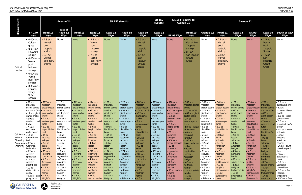

|                                                                |                                                                                                                                                                                                                                                                                                                                                                                                                                                                                                 |                                                                                                                                                                                                                                                                                                                                                                                                       | <b>Avenue 24</b>                                                                                                                                                                                                                                                                                                                                                                                                                                                                |                                                                                                                                                                                                                                                                                                                                                                                                                      |                                                                                                                                                                                                                                                                                                                                                                                                                          |                                                                                                                                                                                                                                                                                                                                                                                                                                                                                  | <b>SR 152 (North)</b>                                                                                                                                                                                                                                                                                                                                                                                                                                                |                                                                                                                                                                                                                                                                                                                                                                                                                                           | <b>SR 152</b><br>SR 152 (South) to<br><b>Avenue 21</b><br><b>Avenue 21</b><br>(South)                                                                                                                                                                                                                                                                                                         |                                                                                                                                                                                                                                                                                                                                                                                                                                                                                               |                                                                                                                                                                                                                                                                                                                                                                                                                                                                                                                                          |                                                                                                                                                                                                                                                                                                                                                                                                                     |                                                                                                                                                                                                                                                                                                                                                                    |                                                                                                                                                                                                                                                                                                                                                                                                                                                                                           |                                                                                                                                                                                                                                                                                                                                                                                                                                                                                                                          |                                                                                                                                                                                                                                                                                                                                                                                                   |                                                                                                                                                                                                                                                                                                                                                                                                                                                                                                         |
|----------------------------------------------------------------|-------------------------------------------------------------------------------------------------------------------------------------------------------------------------------------------------------------------------------------------------------------------------------------------------------------------------------------------------------------------------------------------------------------------------------------------------------------------------------------------------|-------------------------------------------------------------------------------------------------------------------------------------------------------------------------------------------------------------------------------------------------------------------------------------------------------------------------------------------------------------------------------------------------------|---------------------------------------------------------------------------------------------------------------------------------------------------------------------------------------------------------------------------------------------------------------------------------------------------------------------------------------------------------------------------------------------------------------------------------------------------------------------------------|----------------------------------------------------------------------------------------------------------------------------------------------------------------------------------------------------------------------------------------------------------------------------------------------------------------------------------------------------------------------------------------------------------------------|--------------------------------------------------------------------------------------------------------------------------------------------------------------------------------------------------------------------------------------------------------------------------------------------------------------------------------------------------------------------------------------------------------------------------|----------------------------------------------------------------------------------------------------------------------------------------------------------------------------------------------------------------------------------------------------------------------------------------------------------------------------------------------------------------------------------------------------------------------------------------------------------------------------------|----------------------------------------------------------------------------------------------------------------------------------------------------------------------------------------------------------------------------------------------------------------------------------------------------------------------------------------------------------------------------------------------------------------------------------------------------------------------|-------------------------------------------------------------------------------------------------------------------------------------------------------------------------------------------------------------------------------------------------------------------------------------------------------------------------------------------------------------------------------------------------------------------------------------------|-----------------------------------------------------------------------------------------------------------------------------------------------------------------------------------------------------------------------------------------------------------------------------------------------------------------------------------------------------------------------------------------------|-----------------------------------------------------------------------------------------------------------------------------------------------------------------------------------------------------------------------------------------------------------------------------------------------------------------------------------------------------------------------------------------------------------------------------------------------------------------------------------------------|------------------------------------------------------------------------------------------------------------------------------------------------------------------------------------------------------------------------------------------------------------------------------------------------------------------------------------------------------------------------------------------------------------------------------------------------------------------------------------------------------------------------------------------|---------------------------------------------------------------------------------------------------------------------------------------------------------------------------------------------------------------------------------------------------------------------------------------------------------------------------------------------------------------------------------------------------------------------|--------------------------------------------------------------------------------------------------------------------------------------------------------------------------------------------------------------------------------------------------------------------------------------------------------------------------------------------------------------------|-------------------------------------------------------------------------------------------------------------------------------------------------------------------------------------------------------------------------------------------------------------------------------------------------------------------------------------------------------------------------------------------------------------------------------------------------------------------------------------------|--------------------------------------------------------------------------------------------------------------------------------------------------------------------------------------------------------------------------------------------------------------------------------------------------------------------------------------------------------------------------------------------------------------------------------------------------------------------------------------------------------------------------|---------------------------------------------------------------------------------------------------------------------------------------------------------------------------------------------------------------------------------------------------------------------------------------------------------------------------------------------------------------------------------------------------|---------------------------------------------------------------------------------------------------------------------------------------------------------------------------------------------------------------------------------------------------------------------------------------------------------------------------------------------------------------------------------------------------------------------------------------------------------------------------------------------------------|
| Measurement                                                    | <b>SR 140</b><br>Wye                                                                                                                                                                                                                                                                                                                                                                                                                                                                            | Road 11<br>Wye                                                                                                                                                                                                                                                                                                                                                                                        | <b>East of</b><br>Road 12<br>Wye                                                                                                                                                                                                                                                                                                                                                                                                                                                | Road 13<br>Wye                                                                                                                                                                                                                                                                                                                                                                                                       | Road 11<br>Wye                                                                                                                                                                                                                                                                                                                                                                                                           | Road 13<br>Wye                                                                                                                                                                                                                                                                                                                                                                                                                                                                   | Road 18<br>Wye                                                                                                                                                                                                                                                                                                                                                                                                                                                       | Road 19<br>Wye                                                                                                                                                                                                                                                                                                                                                                                                                            | Road 18<br>Wye                                                                                                                                                                                                                                                                                                                                                                                | SR 99 Wye                                                                                                                                                                                                                                                                                                                                                                                                                                                                                     | Road 19<br>Wye                                                                                                                                                                                                                                                                                                                                                                                                                                                                                                                           | Avenue 22<br>Wye                                                                                                                                                                                                                                                                                                                                                                                                    | Road 11<br>Wye                                                                                                                                                                                                                                                                                                                                                     | Road 13<br>Wye                                                                                                                                                                                                                                                                                                                                                                                                                                                                            | <b>SR 99</b><br>Wye                                                                                                                                                                                                                                                                                                                                                                                                                                                                                                      | Road 19<br>Wye                                                                                                                                                                                                                                                                                                                                                                                    | <b>South of GEA</b><br>Wye                                                                                                                                                                                                                                                                                                                                                                                                                                                                              |
| Critical<br>Habitat                                            | • $0.004$ ac $-$<br>Colusa<br>grass<br>$\bullet$ 0.004 ac<br>Hoover's<br>spurge<br>$\bullet$ 0.004 ac -<br>Vernal<br>pool<br>tadpole<br>shrimp<br>$\bullet$ 0.004 ac -<br>Vernal<br>pool fairy<br>shrimp<br>$\bullet$ 0.004 ac -<br>Conser-<br>vancy<br>fairy<br>shrimp                                                                                                                                                                                                                         | $2.8$ ac $-$<br>Vernal<br>pool<br>tadpole<br>shrimp<br>• 2.8 $ac -$<br>Vernal<br>pool fairy<br>shrimp                                                                                                                                                                                                                                                                                                 | None                                                                                                                                                                                                                                                                                                                                                                                                                                                                            | <b>None</b>                                                                                                                                                                                                                                                                                                                                                                                                          | • 2.8 $ac -$<br>Vernal<br>pool<br>tadpole<br>shrimp<br>$2.8$ ac $-$<br>Vernal<br>pool fairy<br>shrimp                                                                                                                                                                                                                                                                                                                    | <b>None</b>                                                                                                                                                                                                                                                                                                                                                                                                                                                                      | None                                                                                                                                                                                                                                                                                                                                                                                                                                                                 | • 1.5 $ac -$<br>Vernal<br>pool<br>tadpole<br>shrimp<br>• $1.5$ ac $-$<br>San<br>Joaquin<br>Orcutt<br>grass                                                                                                                                                                                                                                                                                                                                | None                                                                                                                                                                                                                                                                                                                                                                                          | None                                                                                                                                                                                                                                                                                                                                                                                                                                                                                          | • $0.1$ ac $-$<br><b>Vernal Pool</b><br>Tadpole<br>Shrimp<br>• $0.1$ ac $-$<br>San Joaquin<br>Orcutt<br>Grass                                                                                                                                                                                                                                                                                                                                                                                                                            | None                                                                                                                                                                                                                                                                                                                                                                                                                | • 2.8 $ac -$<br>Vernal<br>pool<br>tadpole<br>shrimp<br>$2.8$ ac $-$<br>Vernal<br>pool fairy<br>shrimp                                                                                                                                                                                                                                                              | <b>None</b>                                                                                                                                                                                                                                                                                                                                                                                                                                                                               | <b>None</b>                                                                                                                                                                                                                                                                                                                                                                                                                                                                                                              | • 1.5 $ac -$<br>Vernal<br>Pool<br>Tadpole<br>Shrimp<br>$1.5$ ac $-$<br>San<br>Joaquin<br>Orcutt<br>Grass                                                                                                                                                                                                                                                                                          | None                                                                                                                                                                                                                                                                                                                                                                                                                                                                                                    |
| California • 14 ac -<br>Natural<br>Diversity   leaf<br>(CNDDB) | $\bullet$ 62 ac -<br>moestan<br>blister beetle<br>$\bullet$ 0.2 ac - CTS $\bullet$ 442 ac -<br>• 14 ac - giant giant garter<br>garter snake<br>$• 5.9 ac -$<br>turtle<br>• $7.1$ ac $-$<br>succulent<br>owl's clover<br>forked hare-<br>Database $\bullet$ 0.2 ac -<br>California<br>linderiella<br>• $0.2$ ac $-$<br>western<br>spadefoot<br>$\bullet$ 14 ac $-$<br>western<br>mastiff bat<br>$\bullet$ 10 ac $-$<br>delta button-<br>celery<br>• 0.2 ac – San $\cdot$ 4.3 ac -<br>Joaquin kit | $\bullet$ 127 ac -<br>moestan<br>blister beetle<br>snake<br>$\bullet$ 2.4 ac -<br>western pond western pond<br>turtle<br>• 8.9 ac -<br>hispid bird's-<br>beak<br>$\bullet$ 15 ac -<br>recurved<br>larkspur<br>• $4.3$ ac -<br>lesser<br>saltscale<br>$\bullet$ 15 ac -<br>Hoover's<br>cryptantha<br>$\bullet$ 4.3 ac -<br>American<br>badger<br>$\bullet$ 4.3 ac -<br>northern<br>harrier<br>Wright's | $\bullet$ 116 ac -<br>moestan<br>blister beetle<br>$\bullet$ 442 ac -<br>giant garter<br>snake<br>$\bullet$ 2.4 ac -<br>western pond western pond<br>turtle<br>$\bullet$ 8.9 ac -<br>hispid bird's-<br>beak<br>$\bullet$ 18 ac -<br>recurved<br>larkspur<br>$\bullet$ 4.3 ac -<br>lesser<br>saltscale<br>$\bullet$ 18 ac -<br>Hoover's<br>cryptantha<br>$\bullet$ 4.3 ac -<br>American<br>badger<br>$\bullet$ 4.3 ac -<br>northern<br>harrier<br>$\bullet$ 4.3 ac -<br>Wright's | $• 161 ac -$<br>moestan<br>blister beetle<br>$\bullet$ 442 ac -<br>giant garter<br>snake<br>$\bullet$ 2.4 ac -<br>turtle<br>$• 8.9 ac -$<br>hispid bird's-<br>beak<br>$\bullet$ 9.6 ac -<br>recurved<br>larkspur<br>$\bullet$ 4.3 ac -<br>lesser<br>saltscale<br>$• 9.6 ac -$<br>Hoover's<br>cryptantha<br>• 4.3 ac -<br>American<br>badger<br>$\bullet$ 4.3 ac -<br>northern<br>harrier<br>$• 4.3 ac -$<br>Wright's | $• 124 ac -$<br>moestan<br>blister beetle<br>$• 437 ac -$<br>giant garter<br>snake<br>$• 2.4 ac -$<br>western pond<br>turtle<br>$\bullet$ 8.9 ac -<br>hispid bird's-<br>beak<br>$• 229 ac -$<br>recurved<br>larkspur<br>$• 4.3 ac -$<br>lesser<br>saltscale<br>$• 229 ac -$<br>Hoover's<br>cryptantha<br>$• 4.3 ac -$<br>American<br>badger<br>$• 4.3 ac -$<br>northern<br>harrier<br>$\bullet$ 21 ac -<br>subtle orache | $\bullet$ 129 ac -<br>moestan<br>blister beetle<br>$\bullet$ 422 ac -<br>giant garter<br>snake<br>$\bullet$ 2.4 ac $\cdot$<br>western pond<br>turtle<br>$\bullet$ 8.9 ac -<br>hispid bird's-<br>beak<br>$\bullet$ 194 ac -<br>recurved<br>larkspur<br>$\bullet$ 4.3 ac $\cdot$<br>lesser<br>saltscale<br>$\bullet$ 194 ac -<br>Hoover's<br>cryptantha<br>$\bullet$ 4.3 ac -<br>American<br>badger<br>$\bullet$ 4.3 ac -<br>northern<br>harrier<br>$\bullet$ 4.3 ac -<br>Wright's | $• 125 ac -$<br>moestan<br>blister beetle<br>$• 452 ac -$<br>giant garter<br>snake<br>$\bullet$ 2.4 ac -<br>western pond $\bullet$ 2.4 ac -<br>turtle<br>$• 8.9 ac -$<br>hispid bird's-<br>beak<br>$• 174 ac -$<br>recurved<br>larkspur<br>$• 4.3 ac -$<br>lesser<br>saltscale<br>$\bullet$ 174 ac -<br>Hoover's<br>cryptantha<br>$• 4.3 ac -$<br>American<br>badger<br>$• 4.3 ac -$<br>northern<br>harrier<br>$\bullet$ 21 ac -<br>subtle orache $\bullet$ 4.3 ac - | $\bullet$ 202 ac -<br>moestan<br>blister beetle<br>$\bullet$ .01 ac - CTS<br>$\bullet$ 422 ac -<br>giant garter<br>snake<br>western pond turtle<br>turtle<br>$\bullet$ 8.9 ac -<br>hispid bird's-<br>beak<br>$\bullet$ 181 ac -<br>recurved<br>  larkspur<br>$\bullet$ 4.3 ac -<br>lesser<br>saltscale<br>• 181 ac -<br>Hoover's<br>cryptantha<br>$\bullet$ 4.3 ac -<br>American<br>badger<br>$\bullet$ 4.3 ac -<br>northern<br>  harrier | $• 125 ac -$<br>moestan<br>blister beetle<br>$• 445 ac -$<br>giant garter<br>snake<br>• 2.4 $ac -$<br>western pond<br>$• 8.9 ac -$<br>hispid bird's-<br>beak<br>$• 231 ac -$<br>recurved<br>larkspur<br>$• 4.3 ac -$<br>lesser<br>saltscale<br>$• 231 ac -$<br>Hoover's<br>cryptantha<br>$• 4.3 ac -$<br>American<br>badger<br>$-4.3$ ac -<br>northern<br>harrier<br>$• 4.3 ac -$<br>Wright's | $\bullet$ 110 ac -<br>moestan<br>blister beetle<br>$\bullet$ 402 ac - giant $\bullet$ .01 ac - CTS<br>garter snake<br>$\bullet$ 2.4 ac -<br>western pond<br>turtle<br>$\bullet$ 8.9 ac -<br>hispid bird's-<br>beak<br>$\bullet$ 39 ac -<br>recurved<br>larkspur<br>$\bullet$ 158 ac -<br>lesser saltscale<br>$\bullet$ 39 ac -<br>Hoover's<br>cryptantha<br>$\bullet$ 4.3 ac -<br>American<br>badger<br>$\bullet$ 4.3 ac -<br>northern<br>harrier<br>orache<br>$\bullet$ 4.3 ac -<br>Wright's | $\bullet$ 289 ac -<br>moestan blister   moestan<br>beetle<br>$\bullet$ 437 ac - giant<br>garter snake<br>$\bullet$ 2.4 ac -<br>western pond<br>turtle<br>• 8.9 ac - hispid • 8.9 ac -<br>bird's-beak<br>$\bullet$ 40 ac -<br>recurved<br>  larkspur<br>$\bullet$ 106 ac -<br>lesser saltscale<br>$\bullet$ 40 ac -<br>Hoover's<br>cryptantha<br>$\bullet$ 4.3 ac -<br>American<br>badger<br>$\bullet$ 4.3 ac -<br>northern<br>harrier<br>$\bullet$ 20 ac - subtle $\bullet$ 22 ac - subtle<br>  orache<br>$\bullet$ 4.3 ac -<br>Wright's | $• 169 ac -$<br>blister beetle   blister beetle<br>$• 371 ac -$<br>giant garter<br>snake<br>$• 2.4 ac -$<br>western<br>pond turtle<br>hispid bird's-<br>beak<br>$\bullet$ 21 ac -<br>recurved<br>larkspur<br>$• 126 ac -$<br>lesser<br>saltscale<br>$\bullet$ 21 ac $-$<br>Hoover's<br>cryptantha<br>$• 4.3 ac -$<br>American<br>badger<br>$• 4.3 ac -$<br>northern<br>harrier<br>• 74 $ac -$<br>subtle orache hawk | $• 161 ac -$<br>moestan<br>$• 420 ac -$<br>giant garter<br>snake<br>$• 2.4 ac -$<br>turtle<br>$• 8.9 ac -$<br>hispid bird's-<br>beak<br>$• 100 ac -$<br>lesser<br>saltscale<br>$• 4.3 ac -$<br>American<br>badger<br>$-4.3$ ac -<br>northern<br>harrier<br>$• 4.5 ac -$<br>subtle orache<br>$• 4.3 ac -$<br>Wright's<br>trichocoronis<br>• 11 $ac -$<br>Swainson's | $\bullet$ 161 ac -<br>moestan<br>blister beetle<br>$\bullet$ 420 ac -<br>giant garter<br>snake<br>$\bullet$ 2.4 ac -<br>western pond   western pond<br>turtle<br>$\bullet$ 8.9 ac -<br>hispid bird's-<br>beak<br>$\bullet$ 201 ac -<br>lesser<br>saltscale<br>$\bullet$ 4.3 ac -<br>American<br>badger<br>$\bullet$ 4.3 ac -<br>northern<br>harrier<br>$\bullet$ 85 ac $-$<br>subtle orache<br>$\bullet$ 4.3 ac -<br>Wright's<br>trichocoronis<br>$\bullet$ 18 ac -<br>Swainson's<br>hawk | $\bullet$ 110 ac -<br>moestan<br>blister beetle   blister beetle<br>$\bullet$ 409 ac -<br>giant garter<br>snake<br>$\bullet$ 2.4 ac -<br>  western<br>pond turtle<br>$\bullet$ 8.9 ac -<br>hispid bird's- $\bullet$ 8.9 ac -<br>beak<br>$\bullet$ 139 ac -<br>lesser<br>saltscale<br>$\bullet$ 4.3 ac -<br>American<br>badger<br>$\bullet$ 4.3 ac -<br>northern<br>harrier<br>$\bullet$ 0.7 ac –<br>subtle<br>orache<br>$\bullet$ 4.3 ac -<br>Wright's<br>trichocoronis trichocoronis<br>$\bullet$ 16 ac -<br>Swainson's | $\bullet$ 289 ac -<br>moestan<br>$\bullet$ .01 ac - CTS<br>$\bullet$ 420 ac -<br>giant garter<br>snake<br>$\bullet$ 2.4 ac -<br>turtle<br>hispid bird's-<br>$\vert$ beak<br>$\bullet$ 90 ac -<br>lesser<br>saltscale<br>• 4.3 ac -<br>American<br>badger<br>$\bullet$ 4.3 ac -<br>northern<br>harrier<br>• 0.7 ac –<br>subtle orache<br>$\bullet$ 4.3 ac -<br>Wright's<br>• 17 ac -<br>Swainson's | • 1.6 $ac -$<br>burrowing owl<br>$\bullet$ 62 ac -<br>moestan blister<br>beetle<br>• 8.0 ac - giant<br>garter snake<br>• $7.1 \text{ ac} -$<br>western pond   succulent owl's<br>clover<br>0.1 ac - lesser<br>saltscale<br>$\bullet$ 32 ac $-$<br>Nelson's<br>antelope<br>squirrel<br>$\bullet$ 26 ac – blunt<br>nosed-leopard<br>lizard<br>• 16 $ac -$<br>Swainson's<br>hawk<br>• 1.6 ac $-$<br>California<br>horned lark<br>$\bullet$ 3.1 ac - San<br>Joaquin<br>whipsnake<br>$\bullet$ 63.5 ac – San |

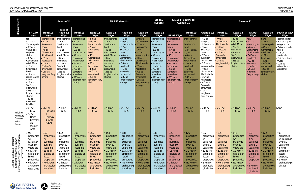|                                                                                                                       |                                                                                                                                                                                                                                                                                                                                                                              | <b>Avenue 24</b>                                                                                                                                                                                                                            |                                                                                                                                                                                                                                    |                                                                                                                                                                                                                                                                        | <b>SR 152 (North)</b>                                                                                                                                                                                                                                                          |                                                                                                                                                                                                                                                         |                                                                                                                                                                                                                                                                      |                                                                                                                                                                                                                                                                             | <b>SR 152</b><br>(South)                                                                                                                                                                                                                              | SR 152 (South) to<br><b>Avenue 21</b>                                                                                                                                                                                                                                             |                                                                                                                                                                                                                                                                                            |                                                                                                                                                                                                                                                                                                                                                 |                                                                                                                                                                  |                                                                                                                                                                                       |                                                                                                                                                                                                                                                  |                                                                                                                                                                                                              |                                                                                                                                                                                                              |
|-----------------------------------------------------------------------------------------------------------------------|------------------------------------------------------------------------------------------------------------------------------------------------------------------------------------------------------------------------------------------------------------------------------------------------------------------------------------------------------------------------------|---------------------------------------------------------------------------------------------------------------------------------------------------------------------------------------------------------------------------------------------|------------------------------------------------------------------------------------------------------------------------------------------------------------------------------------------------------------------------------------|------------------------------------------------------------------------------------------------------------------------------------------------------------------------------------------------------------------------------------------------------------------------|--------------------------------------------------------------------------------------------------------------------------------------------------------------------------------------------------------------------------------------------------------------------------------|---------------------------------------------------------------------------------------------------------------------------------------------------------------------------------------------------------------------------------------------------------|----------------------------------------------------------------------------------------------------------------------------------------------------------------------------------------------------------------------------------------------------------------------|-----------------------------------------------------------------------------------------------------------------------------------------------------------------------------------------------------------------------------------------------------------------------------|-------------------------------------------------------------------------------------------------------------------------------------------------------------------------------------------------------------------------------------------------------|-----------------------------------------------------------------------------------------------------------------------------------------------------------------------------------------------------------------------------------------------------------------------------------|--------------------------------------------------------------------------------------------------------------------------------------------------------------------------------------------------------------------------------------------------------------------------------------------|-------------------------------------------------------------------------------------------------------------------------------------------------------------------------------------------------------------------------------------------------------------------------------------------------------------------------------------------------|------------------------------------------------------------------------------------------------------------------------------------------------------------------|---------------------------------------------------------------------------------------------------------------------------------------------------------------------------------------|--------------------------------------------------------------------------------------------------------------------------------------------------------------------------------------------------------------------------------------------------|--------------------------------------------------------------------------------------------------------------------------------------------------------------------------------------------------------------|--------------------------------------------------------------------------------------------------------------------------------------------------------------------------------------------------------------|
| Measurement                                                                                                           | <b>SR 140</b><br>Wye                                                                                                                                                                                                                                                                                                                                                         | Road 11<br>Wye                                                                                                                                                                                                                              | <b>East of</b><br>Road 12<br>Wye                                                                                                                                                                                                   | Road 13<br>Wye                                                                                                                                                                                                                                                         | Road 11<br>Wye                                                                                                                                                                                                                                                                 | Road 13<br>Wye                                                                                                                                                                                                                                          | Road 18<br>Wye                                                                                                                                                                                                                                                       | Road 19<br>Wye                                                                                                                                                                                                                                                              | Road 18<br>Wye                                                                                                                                                                                                                                        | SR 99 Wye                                                                                                                                                                                                                                                                         | Road 19<br>Wye                                                                                                                                                                                                                                                                             | Avenue 22<br>Wye                                                                                                                                                                                                                                                                                                                                | Road 11<br>Wye                                                                                                                                                   | Road 13<br>Wye                                                                                                                                                                        | <b>SR 99</b><br>Wye                                                                                                                                                                                                                              | Road 19<br>Wye                                                                                                                                                                                               | <b>South of GEA</b><br>Wye                                                                                                                                                                                   |
|                                                                                                                       | fox<br>• 1.7 $ac -$<br>Yuma myotis<br>$\bullet$ 0.2 ac -<br>vernal pool<br>tadpole<br>shrimp<br>$• 3.7 ac -$<br>Cismontane<br>Alkali Marsh<br>• 13 $ac -$<br>Swainson's<br>hawk<br>$\bullet$ 14 ac $-$<br>round-leaved<br>filaree<br>$\bullet$ 18 ac -<br>Sanford's<br>arrowhead<br>$• 553 ac -$<br>longhorn fairy<br>shrimp<br>$\bullet$ 48 ac -<br>tricolored<br>blackbird | trichocoronis<br>$• 12 ac -$<br>Swainson's<br>hawk<br>$\bullet$ 40 ac -<br>Cismontane<br><b>Alkali Marsh</b><br>$\bullet$ 35 ac -<br>heartscale<br>$• 4.3 ac -$<br>Sanford's<br>arrowhead<br>$\bullet$ 285 ac -<br>longhorn fairy<br>shrimp | trichocoronis<br>$\bullet$ 16 ac -<br>Swainson's<br>hawk<br>$\bullet$ 40 ac -<br>Cismontane<br>Alkali Marsh<br>$\bullet$ 35 ac -<br>heartscale<br>$• 4.3 ac -$<br>Sanford's<br>arrowhead<br>• 285 ac -<br>longhorn fairy<br>shrimp | trichocoronis<br>$\bullet$ 17 ac -<br>Swainson's<br>hawk<br>$\bullet$ 0.6 ac -<br>Yuma myotis<br>$\cdot$ 40 ac -<br>Cismontane<br>Alkali Marsh<br>$• 35 ac -$<br>heartscale<br>$-4.3$ ac -<br>Sanford's<br>arrowhead<br>$\bullet$ 285 ac -<br>longhorn fairy<br>shrimp | $• 4.3 ac -$<br>Wright's<br>trichocoronis<br>$\bullet$ 7.6 ac -<br>Swainson's<br>hawk<br>$\bullet$ 40 ac -<br>Cismontane<br><b>Alkali Marsh</b><br>$• 35 ac -$<br>heartscale<br>$\bullet$ 4.3 ac -<br>Sanford's<br>arrowhead<br>$\bullet$ 285 ac -<br>longhorn fairy<br>shrimp | trichocoronis<br>$\bullet$ 17 ac -<br>Swainson's<br>hawk<br>$\bullet$ 40 ac -<br>Cismontane<br><b>Alkali Marsh</b><br>$\bullet$ 35 ac -<br>heartscale<br>$\bullet$ 4.3 ac -<br>Sanford's<br>arrowhead<br>$\bullet$ 285 ac -<br>longhorn fairy<br>shrimp | $• 4.3 ac -$<br>Wright's<br>trichocoronis<br>$• 17 ac -$<br>Swainson's<br>hawk<br>$\bullet$ 40 ac -<br>Cismontane<br>Alkali Marsh<br>$• 35 ac -$<br>heartscale<br>$-4.3$ ac -<br>Sanford's<br>arrowhead<br>$• 285 ac -$<br>longhorn fairy $\cdot$ 285 ac -<br>shrimp | Wright's<br>trichocoronis<br>$\bullet$ 17 ac -<br>Swainson's<br>hawk<br>$\bullet$ 1.0 ac -<br>Yuma myotis<br>$\bullet$ 40 ac -<br>Cismontane<br>Alkali Marsh<br>$\bullet$ 35 ac -<br>heartscale<br>$\bullet$ 4.3 ac -<br>Sanford's<br>arrowhead<br>longhorn fairy<br>shrimp | trichocoronis<br>• 17 ac -<br>Swainson's<br>hawk<br>• 1.5 $ac -$<br>Yuma myotis<br>$\bullet$ 40 ac -<br>Cismontane<br>Alkali Marsh<br>$• 35 ac -$<br>heartscale<br>$• 4.3 ac -$<br>Sanford's<br>arrowhead<br>• 261 $ac -$<br>longhorn fairy<br>shrimp | trichocoronis<br>$\bullet$ 17 ac -<br>Swainson's<br>hawk<br>$• 4.7 ac -$<br>Yuma myotis<br>$\bullet$ 40 ac -<br>Cismontane<br><b>Alkali Marsh</b><br>$\bullet$ 167 ac -<br>heartscale<br>$\bullet$ 4.3 ac -<br>Sanford's<br>arrowhead<br>• 261 $ac -$<br>longhorn fairy<br>shrimp | trichocoronis<br>$\bullet$ 17 ac -<br>Swainson's<br>hawk<br>$\bullet$ 1.0 - Yuma<br>myotis<br>$\bullet$ 40 ac -<br>Cismontane<br><b>Alkali Marsh</b><br>$\bullet$ 137 ac -<br>heartscale<br>$\bullet$ 4.3 ac -<br>Sanford's<br>arrowhead<br>$\bullet$ 285 ac -<br>longhorn fairy<br>shrimp | $• 4.3 ac -$<br>Wright's<br>trichocoronis<br>$• 16 ac -$<br>Swainson's<br>hawk<br>• 17 $ac -$<br>succulent<br>owl's clover<br>$• 1.7 ac -$<br>Yuma myotis shrimp<br>$\bullet$ 40 ac -<br>Cismontane<br>Alkali Marsh<br>$\bullet$ 157 ac -<br>heartscale<br>$• 4.3 ac -$<br>Sanford's<br>arrowhead<br>$\cdot$ ac $-$<br>longhorn<br>fairy shrimp | $\bullet$ 40 ac -<br>Cismontane<br><b>Alkali Marsh</b><br>$• 131 ac -$<br>heartscale<br>$• 4.3 ac -$<br>Sanford's<br>arrowhead<br>• 285 $ac -$<br>longhorn fairy | $\bullet$ 40 ac -<br>Cismontane<br>Alkali Marsh<br>$\bullet$ 232 ac -<br>heartscale<br>$\bullet$ 4.3 ac -<br>Sanford's<br>arrowhead<br>$\bullet$ 285 ac -<br>longhorn fairy<br>shrimp | hawk<br>$-4.7$ ac -<br>Yuma myotis   Yuma myotis<br>$\bullet$ 40 ac -<br>Cismontane<br><b>Alkali Marsh</b><br>$\bullet$ 147 ac -<br>heartscale<br>$\bullet$ 4.3 ac -<br>Sanford's<br>arrowhead<br>$\bullet$ 261 ac -<br>longhorn<br>fairy shrimp | hawk<br>$\bullet$ 1.0 ac -<br>$\bullet$ 40 ac -<br>Cismontane<br><b>Alkali Marsh</b><br>$\bullet$ 121 ac -<br>heartscale<br>• 4.3 ac -<br>Sanford's<br>arrowhead<br>• 285 $ac -$<br>longhorn fairy<br>shrimp | Joaquin kit fox<br>$\bullet$ 6.0 ac – giant<br>kangaroo rat<br>• 96 ac - prairie<br>falcon<br>$• 1.8 ac -$<br>heartscale<br>$\bullet$ 1.7 ac - Yuma<br>myotis<br>• 125 $ac -$<br>Valley Sacaton<br>Grassland |
| Wildlife<br>Refuges/<br>Conser-<br>vation<br>Areas                                                                    | $\bullet$ 90 ac $-$<br>GEA<br>$\bullet$ 22 ac $-$<br>North<br>Grasslan<br>ds<br>Wildlife<br>Area                                                                                                                                                                                                                                                                             | $\bullet$ 268 ac $-$<br>Grasslan<br><sub>d</sub><br>Ecologic<br>al Area<br>(GEA)                                                                                                                                                            | $\bullet$ 268 ac -<br><b>GEA</b>                                                                                                                                                                                                   | $\bullet$ 268 ac -<br><b>GEA</b>                                                                                                                                                                                                                                       | $• 268 ac -$<br><b>GEA</b>                                                                                                                                                                                                                                                     | $\bullet$ 268 ac -<br><b>GEA</b>                                                                                                                                                                                                                        | • 268 $ac -$<br><b>GEA</b>                                                                                                                                                                                                                                           | $\bullet$ 268 ac -<br><b>GEA</b>                                                                                                                                                                                                                                            | • 243 $ac -$<br><b>GEA</b>                                                                                                                                                                                                                            | • 243 $ac -$<br><b>GEA</b>                                                                                                                                                                                                                                                        | $\bullet$ 244 ac -<br><b>GEA</b>                                                                                                                                                                                                                                                           | $\bullet$ 244 ac -<br>GEA                                                                                                                                                                                                                                                                                                                       | $\bullet$ 268 ac $-$<br><b>GEA</b>                                                                                                                               | $\bullet$ 268 ac $-$<br><b>GEA</b>                                                                                                                                                    | $\bullet$ 243 ac $-$<br><b>GEA</b>                                                                                                                                                                                                               | $268$ ac $-$<br><b>GEA</b>                                                                                                                                                                                   | None                                                                                                                                                                                                         |
| Cultural Resources (potential<br>historical properties, known<br>archaeological sites, archaeological<br>sensitivity) | • 93<br>properties<br>W/<br>buildings<br>over 50<br>years old<br>6 NRHP<br>eligible or<br>listed<br>properties<br>6 known<br>archaeolo<br>gical sites                                                                                                                                                                                                                        | • 100<br>properties<br>W/<br>buildings<br>over 50<br>years old<br>11 NRHP<br>eligible or<br>listed<br>properties<br>No known<br>archaeolog<br>ical sites                                                                                    | • 112<br>properties<br>W/<br>buildings<br>over 50<br>years old<br>• 11 NRHP<br>eligible or<br>listed<br>properties<br>1 known<br>archaeolog<br>ical site                                                                           | • 106<br>properties<br>W/<br>buildings<br>over 50<br>years old<br>$.11$ NRHP<br>eligible or<br>listed<br>properties<br>2 known<br>archaeolog<br>ical sites                                                                                                             | • 159<br>properties<br>W/<br>buildings<br>over 50<br>years old<br>11 NRHP<br>eligible or<br>listed<br>properties<br>No known<br>archaeolog<br>ical sites                                                                                                                       | • 153<br>properties<br>W/<br>buildings<br>over 50<br>years old<br>11 NRHP<br>eligible or<br>listed<br>properties<br>No known<br>archaeolog<br>ical sites                                                                                                | • 168<br>properties<br>W/<br>buildings<br>over 50<br>years old<br>• 11 NRHP<br>eligible or<br>listed<br>properties<br>No known<br>archaeolog<br>ical sites                                                                                                           | $\cdot$ 151<br>properties<br>W/<br>buildings<br>over 50<br>years old<br>11 NRHP<br>eligible or<br>listed<br>properties<br>No known<br>archaeolog<br>ical sites                                                                                                              | • 148<br>properties<br>W/<br>buildings<br>over 50<br>years old<br>$.11$ NRHP<br>eligible or<br>listed<br>properties<br>No known<br>archaeolog<br>ical sites                                                                                           | • 129<br>properties<br>W/<br>buildings<br>over 50<br>years old<br>11 NRHP<br>eligible or<br>listed<br>properties<br>1 known<br>archaeologi<br>cal site                                                                                                                            | • 126<br>properties<br>W/<br>buildings<br>over 50<br>years old<br>• 11 NRHP<br>eligible or<br>listed<br>properties<br>• No known<br>archaeologi<br>cal sites                                                                                                                               | •122<br>properties<br>W/<br>buildings<br>over 50<br>years old<br>12 NRHP<br>eligible or<br>listed<br>properties<br>3 known<br>archaeolo<br>gical sites                                                                                                                                                                                          | 125<br>properties<br>W/<br>buildings<br>over 50<br>years old<br>11 NRHP<br>eligible or<br>listed<br>properties<br>No known<br>archaeolog<br>ical sites           | • 141<br>properties<br>W/<br>buildings<br>over 50<br>years old<br>11 NRHP<br>eligible or<br>listed<br>properties<br>No known<br>archaeolog<br>ical sites                              | • 127<br>propertie<br>S W/<br>buildings<br>over 50<br>years old<br>11 NRHP<br>eligible or<br>listed<br>propertie<br>S.<br>1 known<br>archaeolo<br>gical site                                                                                     | • 122<br>properties<br>W/<br>buildings<br>over 50<br>years old<br>11 NRHP<br>eligible or<br>listed<br>properties<br>No known<br>archaeolog<br>ical sites                                                     | • 98<br>properties<br>w/ buildings<br>over 50<br>years old<br>6 NRHP<br>eligible or<br>listed<br>property<br>· 5 known<br>archaeologic<br>al sites                                                           |

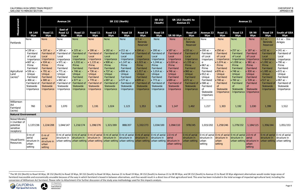<span id="page-15-0"></span>

|                                                                        |                                                                                                                                                                                          | <b>Avenue 24</b>                                                                                                                                                                                                 |                                                                                                                                                                          |                                                                                                                                                                                                                                                                                                                                           | <b>SR 152 (North)</b>                                                                                                                                                                       |                                                                                                                                                                                         |                                                                                                                                                                                                       |                                                                                                                                                                                                  | <b>SR 152</b><br>(South)                                                                                                                                                                          | SR 152 (South) to<br><b>Avenue 21</b>                                                                                                                                                     |                                                                                                                                                                                           |                                                                                                                                                                                                                    |                                                                                                                                                                                                    |                                                                                                                                                                                              |                                                                                                                                                                                      |                                                                                                                                                                                                |                                                                                                                                                                                           |
|------------------------------------------------------------------------|------------------------------------------------------------------------------------------------------------------------------------------------------------------------------------------|------------------------------------------------------------------------------------------------------------------------------------------------------------------------------------------------------------------|--------------------------------------------------------------------------------------------------------------------------------------------------------------------------|-------------------------------------------------------------------------------------------------------------------------------------------------------------------------------------------------------------------------------------------------------------------------------------------------------------------------------------------|---------------------------------------------------------------------------------------------------------------------------------------------------------------------------------------------|-----------------------------------------------------------------------------------------------------------------------------------------------------------------------------------------|-------------------------------------------------------------------------------------------------------------------------------------------------------------------------------------------------------|--------------------------------------------------------------------------------------------------------------------------------------------------------------------------------------------------|---------------------------------------------------------------------------------------------------------------------------------------------------------------------------------------------------|-------------------------------------------------------------------------------------------------------------------------------------------------------------------------------------------|-------------------------------------------------------------------------------------------------------------------------------------------------------------------------------------------|--------------------------------------------------------------------------------------------------------------------------------------------------------------------------------------------------------------------|----------------------------------------------------------------------------------------------------------------------------------------------------------------------------------------------------|----------------------------------------------------------------------------------------------------------------------------------------------------------------------------------------------|--------------------------------------------------------------------------------------------------------------------------------------------------------------------------------------|------------------------------------------------------------------------------------------------------------------------------------------------------------------------------------------------|-------------------------------------------------------------------------------------------------------------------------------------------------------------------------------------------|
| Measurement                                                            | <b>SR 140</b><br>Wye                                                                                                                                                                     | Road 11<br>Wye                                                                                                                                                                                                   | <b>East of</b><br>Road 12<br>Wye                                                                                                                                         | Road 13<br>Wye                                                                                                                                                                                                                                                                                                                            | Road 11<br>Wye                                                                                                                                                                              | Road 13<br><b>Wye</b>                                                                                                                                                                   | Road 18<br>Wye                                                                                                                                                                                        | Road 19<br>Wye                                                                                                                                                                                   | Road 18<br>Wye                                                                                                                                                                                    | SR 99 Wye                                                                                                                                                                                 | Road 19<br>Wye                                                                                                                                                                            | Avenue 22<br>Wye                                                                                                                                                                                                   | Road 11<br>Wye                                                                                                                                                                                     | Road 13<br>Wye                                                                                                                                                                               | <b>SR 99</b><br>Wye                                                                                                                                                                  | Road 19<br>Wye                                                                                                                                                                                 | <b>South of GEA</b><br>Wye                                                                                                                                                                |
| Parklands                                                              | None                                                                                                                                                                                     | <b>None</b>                                                                                                                                                                                                      | None                                                                                                                                                                     | <b>None</b>                                                                                                                                                                                                                                                                                                                               | <b>None</b>                                                                                                                                                                                 | <b>None</b>                                                                                                                                                                             | None                                                                                                                                                                                                  | $0.5$ ac $-$<br>Berenda<br>Reservoir                                                                                                                                                             | <b>None</b>                                                                                                                                                                                       | <b>None</b>                                                                                                                                                                               | $0.5$ ac $-$<br>Berenda<br>Reservoir                                                                                                                                                      | None                                                                                                                                                                                                               | <b>None</b>                                                                                                                                                                                        | <b>None</b>                                                                                                                                                                                  | <b>None</b>                                                                                                                                                                          | $0.5$ ac $-$<br>Berenda<br>Reservoir                                                                                                                                                           | $0.2$ ac $-$ Dos<br>Amigos                                                                                                                                                                |
| Agricultural<br>Land<br>$(\text{acres})^2$                             | $• 139 ac -$<br>Farmland<br>of Local<br>Importance<br>$• 607 ac -$<br>Prime<br>Farmland<br>$• 536 ac -$<br>Unique<br>Farmland<br>$.466$ ac $-$<br>Farmland of<br>Statewide<br>Importance | • 197 $ac -$<br>Farmland of<br>Local<br>Importance<br>$\bullet$ 934 ac -<br>Prime<br>Farmland<br>$\bullet$ 791 ac -<br>Unique<br>Farmland<br>$\bullet$ 680 ac -<br><b>Farmland of</b><br>Statewide<br>Importance | $• 189 ac -$<br>Local<br>Importance<br>$• 971 ac -$<br>Prime<br>Farmland<br>• 771 $ac -$<br>Unique<br>Farmland<br>$• 682 ac -$<br>Farmland of<br>Statewide<br>Importance | • 225 $ac -$<br>Farmland of Farmland of<br>Local<br>Importance<br>• 1,032 ac $-$<br>Prime<br>Farmland<br>• 746 $ac -$<br>Unique<br>Farmland<br>$\bullet$ 677 ac -<br>Farmland of<br>Statewide<br>Importance                                                                                                                               | $• 186 ac -$<br>Farmland of<br>Local<br>Importance<br>• $1,133$ ac $-$<br>Prime<br>Farmland<br>• 736 $ac -$<br>Unique<br>Farmland<br>• 778 $ac -$<br>Farmland of<br>Statewide<br>Importance | • 182 $ac -$<br>Farmland of<br>Local<br>Importance<br>• 908 $ac -$<br>Prime<br>Farmland<br>• 737 $ac -$<br>Unique<br>Farmland<br>$• 687$ ac -<br>Farmland of<br>Statewide<br>Importance | $\bullet$ 211 ac –<br>Farmland of<br>Local<br>Importance<br>• 1,147 $ac -$<br>Prime<br>Farmland<br>$\bullet$ 899 ac -<br>Unique<br>Farmland<br>$• 577$ ac -<br>Farmland of<br>Statewide<br>Importance | • 194 $ac -$<br><b>Farmland of</b><br>Local<br>Importance<br>1,023 ac $-$<br>Prime<br>Farmland<br>$• 1,017$ ac -<br>Unique<br>Farmland<br>$• 609 ac -$<br>Farmland of<br>Statewide<br>Importance | $\bullet$ 200 ac $-$<br>Farmland of<br>Local<br>Importance<br>1,244 ac $-$<br>Prime<br>Farmland<br>• 1,014 $ac -$<br>Unique<br>Farmland<br>• 773 $ac -$<br>Farmland of<br>Statewide<br>Importance | • 187 $ac -$<br>Farmland of<br>Local<br>Importance<br>• 1,024 $ac -$<br>Prime<br>Farmland<br>• 746 $ac -$<br>Unique<br>Farmland<br>$• 689 ac -$<br>Farmland of<br>Statewide<br>Importance | $• 233 ac -$<br>Farmland of<br>Local<br>Importance<br>• 1,155 $ac -$<br>Prime<br>Farmland<br>$• 960$ ac -<br>Unique<br>Farmland<br>$• 672 ac -$<br>Farmland of<br>Statewide<br>Importance | $\bullet$ 200 ac $-$<br>Farmland<br>of Local<br>Importanc<br>e<br>$• 967 ac -$<br>Prime<br>Farmland<br>$\bullet$ 912 ac $-$<br>Unique<br>Farmland<br>$• 588 ac -$<br>Farmland<br>οf<br>Statewide<br>Importanc<br>e | $• 256 ac -$<br>Farmland<br>of Local<br>Importance<br>• 1,074 $ac -$<br>Prime<br>Farmland<br>$\bullet$ 876 ac -<br>Unique<br>Farmland<br>• 748 $ac -$<br>Farmland<br>0f<br>Statewide<br>Importance | $• 257 ac -$<br>Farmland<br>of Local<br>Importance<br>• 1,058 $ac -$<br>Prime<br>Farmland<br>• 748 $ac -$<br>Unique<br>Farmland<br>• 760 $ac -$<br>Farmland<br>0f<br>Statewide<br>Importance | 187 $ac -$<br>Farmland<br>of Local<br>Importance<br>$961$ ac $-$<br>Prime<br>Farmland<br>830 ac -<br>Unique<br>Farmland<br>$539$ ac $-$<br>Farmland<br>0f<br>Statewide<br>Importance | $\bullet$ 232 ac $-$<br>Farmland of<br>Local<br>Importance<br>• 1,092 ac –<br>Prime<br>Farmland<br>• 1,085 ac –<br>Unique<br>Farmland<br>• 517 $ac -$<br>Farmland o<br>Statewide<br>Importance | • 241 $ac -$<br>Farmland of<br>Local<br>Importance<br>$-790$ ac $-$<br>Prime<br>Farmland<br>$672$ ac $-$<br>Unique<br>Farmland<br>$-967$ ac $-$<br>Farmland of<br>Statewide<br>Importance |
| Williamson<br>Act<br>Farmland<br>(acres)                               | 760                                                                                                                                                                                      | 1,148                                                                                                                                                                                                            | 1,070                                                                                                                                                                    | 1,073                                                                                                                                                                                                                                                                                                                                     | 1,191                                                                                                                                                                                       | 1,024                                                                                                                                                                                   | 1,123                                                                                                                                                                                                 | 1,353                                                                                                                                                                                            | 1,286                                                                                                                                                                                             | 1,147                                                                                                                                                                                     | 1,492                                                                                                                                                                                     | 1,217                                                                                                                                                                                                              | 1,303                                                                                                                                                                                              | 1,192                                                                                                                                                                                        | 1,030                                                                                                                                                                                | 1,399                                                                                                                                                                                          | 1,512                                                                                                                                                                                     |
| <b>Natural Environment</b>                                             |                                                                                                                                                                                          |                                                                                                                                                                                                                  |                                                                                                                                                                          |                                                                                                                                                                                                                                                                                                                                           |                                                                                                                                                                                             |                                                                                                                                                                                         |                                                                                                                                                                                                       |                                                                                                                                                                                                  |                                                                                                                                                                                                   |                                                                                                                                                                                           |                                                                                                                                                                                           |                                                                                                                                                                                                                    |                                                                                                                                                                                                    |                                                                                                                                                                                              |                                                                                                                                                                                      |                                                                                                                                                                                                |                                                                                                                                                                                           |
| Noise/Vibratio<br>n (number of<br>potential<br>sensitive<br>receptors) |                                                                                                                                                                                          | 1,137/236 1,224/208                                                                                                                                                                                              |                                                                                                                                                                          | $1,044/147$ 1,216/174                                                                                                                                                                                                                                                                                                                     | 1,298/276                                                                                                                                                                                   | 1,321/269                                                                                                                                                                               | 888/207                                                                                                                                                                                               | 1,332/273                                                                                                                                                                                        | 1,034/100                                                                                                                                                                                         | 1,094/110                                                                                                                                                                                 | 978/245                                                                                                                                                                                   |                                                                                                                                                                                                                    |                                                                                                                                                                                                    |                                                                                                                                                                                              |                                                                                                                                                                                      | $1,184/115$   1,356/244                                                                                                                                                                        | 1,051/153                                                                                                                                                                                 |
| Visual/Scenic<br>Resources                                             | 0 mi of<br>aerial<br>structure in structure in<br>urban<br>setting                                                                                                                       | 0 mi of<br>aerial<br>urban<br>setting                                                                                                                                                                            |                                                                                                                                                                          | 0 mi of aerial 0 mi of aerial 0 mi of aerial 0 mi of aerial 0 mi of aerial 0 mi of aerial 0 mi of aerial 2.0 mi of<br>structure in structure in structure in structure in structure in structure in structure in aerial<br>urban setting urban setting urban setting urban setting urban setting urban setting urban setting structure in |                                                                                                                                                                                             |                                                                                                                                                                                         |                                                                                                                                                                                                       |                                                                                                                                                                                                  |                                                                                                                                                                                                   | urban setting                                                                                                                                                                             | 0 mi of aerial $\vert$ 0 mi of aerial $\vert$ 0 mi of aerial $\vert$ 0 mi of aerial $\vert$ 2.0 mi of<br>structure in<br>urban setting                                                    | <b>urban</b><br>setting                                                                                                                                                                                            | urban<br>setting                                                                                                                                                                                   | structure in structure in structure in aerial                                                                                                                                                | urban<br>setting                                                                                                                                                                     | structure in structure in                                                                                                                                                                      | 0 mi of aerial 0 mi of aerial<br>urban setting structure in urban setting urban setting                                                                                                   |

 $^2$  The SR 152 (North) to Road 18 Wye, SR 152 (North) to Road 19 Wye, SR 152 (South) to Road 18 Wye, Avenue 21 to Road 19 Wye, SR 152 (South) to Avenue 21 to SR 99 Wye, and SR 152 (South) to Avenue 21 to Road 19 Wye alig farmland inaccessible and economically unusable because of the way in which farmland is boxed in between alternatives, and thus would result in a direct loss of that agricultural land. This area has been included in the to conversion of Williamson Act farmland. Please refer to Attachment 4 for further discussion of the study area methodology used for this impacts analysis.



 $\overline{\phantom{a}}$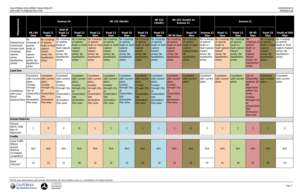<span id="page-16-0"></span>

|                                                                                                          |                                                                                                                                                    |                                                                                            | <b>Avenue 24</b>                                                                                                    |                                                                                                                            |                                                                                                                                   | <b>SR 152 (North)</b>                                                                                                                    |                                                                                                                     |                                                                                                                            |                                                                                                                     | SR 152 (South) to<br><b>Avenue 21</b>                                                                                      |                                                                                                                                         |                                                                                         | <b>Avenue 21</b>                                                                                                       |                                                                                                                    |                                                                                                                                                                                 |                                                                                                   |                                                                                                       |
|----------------------------------------------------------------------------------------------------------|----------------------------------------------------------------------------------------------------------------------------------------------------|--------------------------------------------------------------------------------------------|---------------------------------------------------------------------------------------------------------------------|----------------------------------------------------------------------------------------------------------------------------|-----------------------------------------------------------------------------------------------------------------------------------|------------------------------------------------------------------------------------------------------------------------------------------|---------------------------------------------------------------------------------------------------------------------|----------------------------------------------------------------------------------------------------------------------------|---------------------------------------------------------------------------------------------------------------------|----------------------------------------------------------------------------------------------------------------------------|-----------------------------------------------------------------------------------------------------------------------------------------|-----------------------------------------------------------------------------------------|------------------------------------------------------------------------------------------------------------------------|--------------------------------------------------------------------------------------------------------------------|---------------------------------------------------------------------------------------------------------------------------------------------------------------------------------|---------------------------------------------------------------------------------------------------|-------------------------------------------------------------------------------------------------------|
| Measurement                                                                                              | <b>SR 140</b><br>Wye                                                                                                                               | Road 11<br><b>Wye</b>                                                                      | <b>East of</b><br>Road 12<br>Wye                                                                                    | Road 13<br>Wye                                                                                                             | Road 11<br>Wye                                                                                                                    | Road 13<br>Wye                                                                                                                           | Road 18<br>Wye                                                                                                      | Road 19<br>Wye                                                                                                             | Road 18<br>Wye                                                                                                      | SR 99 Wye                                                                                                                  | Road 19<br>Wye                                                                                                                          | <b>Avenue 22</b><br>Wye                                                                 | Road 11<br>Wye                                                                                                         | Road 13<br>Wye                                                                                                     | <b>SR 99</b><br>Wye                                                                                                                                                             | Road 19<br>Wye                                                                                    | <b>South of GEA</b><br>Wye                                                                            |
| Geotechnical<br>Constraints<br>(known fault<br>crossings,<br>seismic<br>zones,<br>liquefaction<br>zones) | No.<br>crossings of of seismic<br>seismic<br>faults or<br>fault<br>rupture<br>hazard<br>zones; No<br>liquefaction<br>zones                         | No crossings<br>faults or fault<br>rupture<br>hazard<br>zones; No<br>liquefaction<br>zones | No crossings<br>of seismic<br>faults or<br>fault rupture<br>hazard<br>zones; No<br>liquefaction<br>zones            | No crossings<br>of seismic<br>faults or fault<br>rupture<br>hazard<br>zones; No<br>liquefaction<br>zones                   | No crossings<br>of seismic<br>faults or fault<br>rupture<br>hazard<br>zones; No<br>liquefaction<br>zones                          | No crossings<br>of seismic<br>faults or fault faults or fault faults or fault<br>rupture<br>hazard<br>zones; No<br>liquefaction<br>zones | No crossings<br>of seismic<br>rupture<br>hazard<br>zones; No<br>liquefaction<br>zones                               | No crossings<br>of seismic<br>rupture<br>hazard<br>zones; No<br>liquefaction<br><b>zones</b>                               | No crossings<br>of seismic<br>faults or fault<br>rupture<br>hazard<br>zones; No<br>liquefaction<br>zones            | No crossings<br>of seismic<br>rupture<br>hazard<br>zones; No<br>liquefaction<br>zones                                      | No crossings<br>of seismic<br>faults or fault faults or fault<br><b>rupture</b><br>hazard zones;<br>No.<br>liquefaction<br><b>zones</b> | No crossings<br>of seismic<br>faults or<br>hazard<br>zones; No<br>liquefaction<br>zones | No crossings<br>of seismic<br>faults or<br>fault rupture fault rupture<br>hazard<br>zones; No<br>liquefaction<br>zones | No crossings No<br>of seismic<br>faults or<br>fault rupture<br>hazard<br>zones; No<br>liquefaction<br><b>zones</b> | crossings of of seismic<br>seismic<br>faults or<br>fault<br>rupture<br>hazard<br>zones; No<br>liquefaction<br><b>zones</b>                                                      | No crossings<br>faults or fault<br>rupture<br>hazard<br>zones; No<br>liquefaction<br><b>Zones</b> | No crossings<br>of seismic<br>faults or fault<br>rupture hazard<br>zones; No<br>liquefaction<br>zones |
| <b>Land Use</b>                                                                                          |                                                                                                                                                    |                                                                                            |                                                                                                                     |                                                                                                                            |                                                                                                                                   |                                                                                                                                          |                                                                                                                     |                                                                                                                            |                                                                                                                     |                                                                                                                            |                                                                                                                                         |                                                                                         |                                                                                                                        |                                                                                                                    |                                                                                                                                                                                 |                                                                                                   |                                                                                                       |
| Consistency<br>with Local<br>Plans/<br><b>General Plans</b>                                              | Consistent<br>with current with current<br>plans.<br>Crosses<br>through<br>City of<br>Chowchilla's Chowchilla's<br>Site<br>Annexation<br>Plan area | Consistent<br>plans.<br>Crosses<br>through City<br><b>Site</b><br>Annexation<br>Plan area  | Consistent<br>with current<br>plans.<br>Crosses<br>through City<br>Chowchilla's<br>Site<br>Annexation<br>Plan area. | Consistent<br>with current<br>plans.<br>Crosses<br>through City<br>Chowchilla's<br><b>Site</b><br>Annexation<br>Plan area. | Consistent<br>with current<br>plans.<br><b>Crosses</b><br>through City<br>Chowchilla's<br><b>Site</b><br>Annexation<br>Plan area. | Consistent<br>with current<br>plans.<br><b>Crosses</b><br>through City<br>Chowchilla's<br>Site<br>Annexation<br>Plan area.               | Consistent<br>with current<br>plans.<br>Crosses<br>through City<br>Chowchilla's<br>Site<br>Annexation<br>Plan area. | Consistent<br>with current<br>plans.<br><b>Crosses</b><br>through City<br>Chowchilla's<br>Site<br>Annexation<br>Plan area. | Consistent<br>with current<br>plans.<br>Crosses<br>through City<br>Chowchilla's<br>Site<br>Annexation<br>Plan area. | Consistent<br>with current<br>plans.<br><b>Crosses</b><br>through City<br>Chowchilla's<br>Site<br>Annexation<br>Plan area. | Consistent<br>with current<br>plans.                                                                                                    | Consistent<br>with current<br>plans.                                                    | Consistent<br>with current<br>plans.                                                                                   | Consistent<br>with current<br>plans.                                                                               | City of<br>Chowchilla<br>opposes SR plans.<br>alignments<br>within City<br>limits.<br><b>Crosses</b><br>through City<br>Chowchilla's<br><b>Site</b><br>Annexation<br>Plan area. | Consistent<br>with current                                                                        | Consistent<br>with current<br>plans.                                                                  |
| <b>School Districts</b>                                                                                  |                                                                                                                                                    |                                                                                            |                                                                                                                     |                                                                                                                            |                                                                                                                                   |                                                                                                                                          |                                                                                                                     |                                                                                                                            |                                                                                                                     |                                                                                                                            |                                                                                                                                         |                                                                                         |                                                                                                                        |                                                                                                                    |                                                                                                                                                                                 |                                                                                                   |                                                                                                       |
| Schools<br>within 1500<br>feet of<br>Alignment                                                           | $\overline{2}$                                                                                                                                     | $\overline{0}$                                                                             | $\overline{0}$                                                                                                      | $\overline{0}$                                                                                                             |                                                                                                                                   |                                                                                                                                          |                                                                                                                     |                                                                                                                            |                                                                                                                     |                                                                                                                            | $\overline{0}$                                                                                                                          | $\overline{2}$                                                                          |                                                                                                                        | $\overline{2}$                                                                                                     | $\overline{2}$                                                                                                                                                                  |                                                                                                   | $\mathbf 0$                                                                                           |
| <b>Traffic</b>                                                                                           |                                                                                                                                                    |                                                                                            |                                                                                                                     |                                                                                                                            |                                                                                                                                   |                                                                                                                                          |                                                                                                                     |                                                                                                                            |                                                                                                                     |                                                                                                                            |                                                                                                                                         |                                                                                         |                                                                                                                        |                                                                                                                    |                                                                                                                                                                                 |                                                                                                   |                                                                                                       |
| Local Traffic<br>Effects<br>around<br>Stations<br>(increased<br>congestion)                              | N/A                                                                                                                                                | N/A                                                                                        | N/A                                                                                                                 | N/A                                                                                                                        | N/A                                                                                                                               | N/A                                                                                                                                      | N/A                                                                                                                 | N/A                                                                                                                        | N/A                                                                                                                 | N/A                                                                                                                        | N/A                                                                                                                                     | N/A                                                                                     | N/A                                                                                                                    | N/A                                                                                                                | N/A                                                                                                                                                                             | N/A                                                                                               | N/A                                                                                                   |
| Road<br>$\sqrt{\frac{1}{10}}$ Closures <sup>3</sup>                                                      | 21                                                                                                                                                 | 21                                                                                         | 31                                                                                                                  | 40                                                                                                                         | 32                                                                                                                                | 32                                                                                                                                       | 33                                                                                                                  | 32                                                                                                                         | 33                                                                                                                  | 31                                                                                                                         | 32                                                                                                                                      | 25                                                                                      | 41                                                                                                                     | 40                                                                                                                 | 41                                                                                                                                                                              | 42                                                                                                | 29                                                                                                    |

<sup>3</sup> SR152 wye alternatives will include elimination of cross median turns i.e. installation of median barrier.



 $\overline{\phantom{a}}$